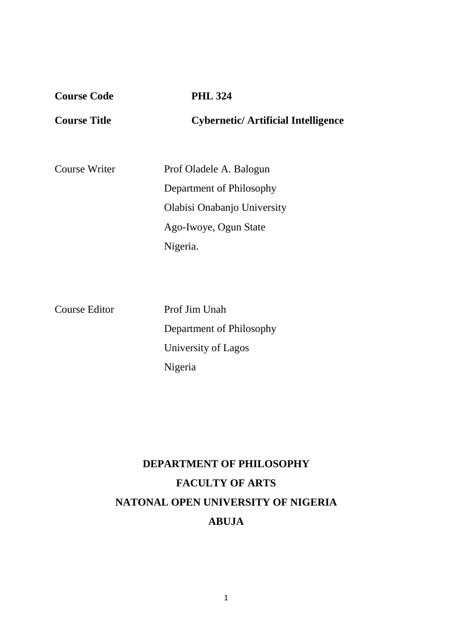| <b>Course Code</b>  | <b>PHL 324</b>                                                                                              |
|---------------------|-------------------------------------------------------------------------------------------------------------|
| <b>Course Title</b> | <b>Cybernetic/Artificial Intelligence</b>                                                                   |
| Course Writer       | Prof Oladele A. Balogun<br>Department of Philosophy<br>Olabisi Onabanjo University<br>Ago-Iwoye, Ogun State |
|                     | Nigeria.                                                                                                    |

Course Editor Prof Jim Unah

 Department of Philosophy University of Lagos Nigeria

# **DEPARTMENT OF PHILOSOPHY FACULTY OF ARTS NATONAL OPEN UNIVERSITY OF NIGERIA ABUJA**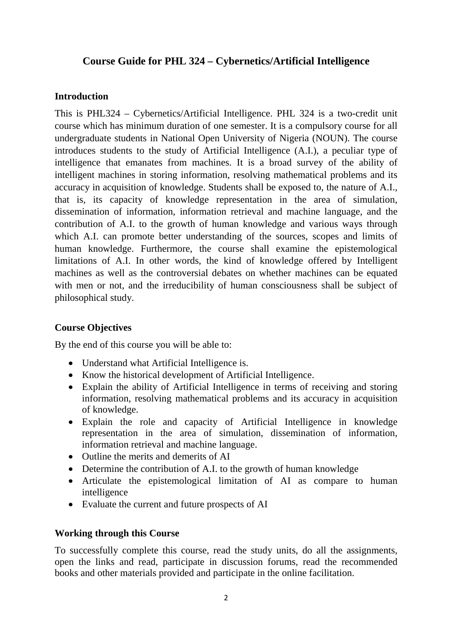## **Course Guide for PHL 324 – Cybernetics/Artificial Intelligence**

## **Introduction**

This is PHL324 – Cybernetics/Artificial Intelligence. PHL 324 is a two-credit unit course which has minimum duration of one semester. It is a compulsory course for all undergraduate students in National Open University of Nigeria (NOUN). The course introduces students to the study of Artificial Intelligence (A.I.), a peculiar type of intelligence that emanates from machines. It is a broad survey of the ability of intelligent machines in storing information, resolving mathematical problems and its accuracy in acquisition of knowledge. Students shall be exposed to, the nature of A.I., that is, its capacity of knowledge representation in the area of simulation, dissemination of information, information retrieval and machine language, and the contribution of A.I. to the growth of human knowledge and various ways through which A.I. can promote better understanding of the sources, scopes and limits of human knowledge. Furthermore, the course shall examine the epistemological limitations of A.I. In other words, the kind of knowledge offered by Intelligent machines as well as the controversial debates on whether machines can be equated with men or not, and the irreducibility of human consciousness shall be subject of philosophical study.

## **Course Objectives**

By the end of this course you will be able to:

- Understand what Artificial Intelligence is.
- Know the historical development of Artificial Intelligence.
- Explain the ability of Artificial Intelligence in terms of receiving and storing information, resolving mathematical problems and its accuracy in acquisition of knowledge.
- Explain the role and capacity of Artificial Intelligence in knowledge representation in the area of simulation, dissemination of information, information retrieval and machine language.
- Outline the merits and demerits of AI
- Determine the contribution of A.I. to the growth of human knowledge
- Articulate the epistemological limitation of AI as compare to human intelligence
- Evaluate the current and future prospects of AI

## **Working through this Course**

To successfully complete this course, read the study units, do all the assignments, open the links and read, participate in discussion forums, read the recommended books and other materials provided and participate in the online facilitation.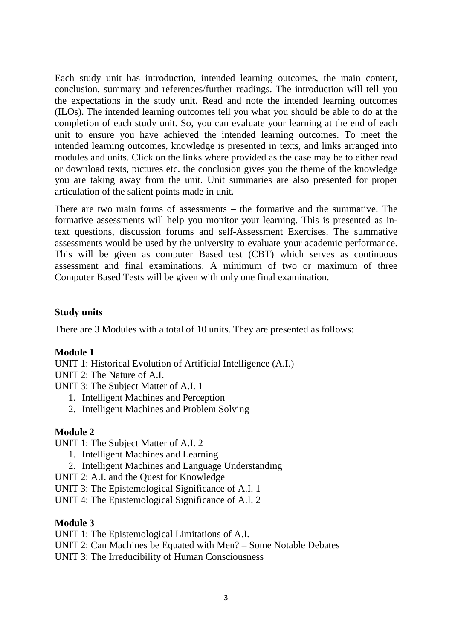Each study unit has introduction, intended learning outcomes, the main content, conclusion, summary and references/further readings. The introduction will tell you the expectations in the study unit. Read and note the intended learning outcomes (ILOs). The intended learning outcomes tell you what you should be able to do at the completion of each study unit. So, you can evaluate your learning at the end of each unit to ensure you have achieved the intended learning outcomes. To meet the intended learning outcomes, knowledge is presented in texts, and links arranged into modules and units. Click on the links where provided as the case may be to either read or download texts, pictures etc. the conclusion gives you the theme of the knowledge you are taking away from the unit. Unit summaries are also presented for proper articulation of the salient points made in unit.

There are two main forms of assessments – the formative and the summative. The formative assessments will help you monitor your learning. This is presented as intext questions, discussion forums and self-Assessment Exercises. The summative assessments would be used by the university to evaluate your academic performance. This will be given as computer Based test (CBT) which serves as continuous assessment and final examinations. A minimum of two or maximum of three Computer Based Tests will be given with only one final examination.

## **Study units**

There are 3 Modules with a total of 10 units. They are presented as follows:

#### **Module 1**

UNIT 1: Historical Evolution of Artificial Intelligence (A.I.)

- UNIT 2: The Nature of A.I.
- UNIT 3: The Subject Matter of A.I. 1
	- 1. Intelligent Machines and Perception
	- 2. Intelligent Machines and Problem Solving

## **Module 2**

UNIT 1: The Subject Matter of A.I. 2

- 1. Intelligent Machines and Learning
- 2. Intelligent Machines and Language Understanding
- UNIT 2: A.I. and the Quest for Knowledge
- UNIT 3: The Epistemological Significance of A.I. 1
- UNIT 4: The Epistemological Significance of A.I. 2

#### **Module 3**

UNIT 1: The Epistemological Limitations of A.I.

- UNIT 2: Can Machines be Equated with Men? Some Notable Debates
- UNIT 3: The Irreducibility of Human Consciousness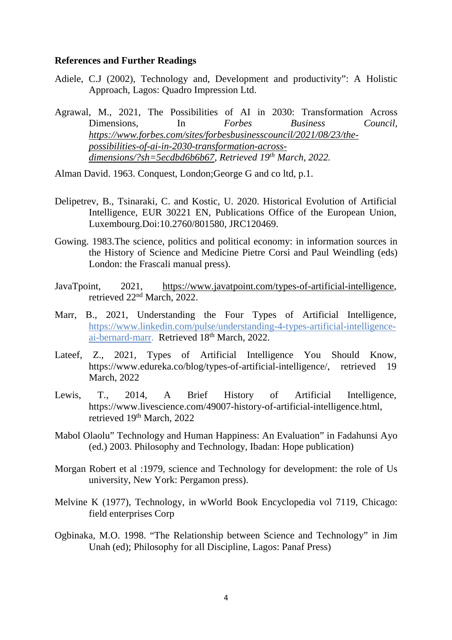#### **References and Further Readings**

- Adiele, C.J (2002), Technology and, Development and productivity": A Holistic Approach, Lagos: Quadro Impression Ltd.
- Agrawal, M., 2021, The Possibilities of AI in 2030: Transformation Across Dimensions, In *Forbes Business Council, https://www.forbes.com/sites/forbesbusinesscouncil/2021/08/23/thepossibilities-of-ai-in-2030-transformation-acrossdimensions/?sh=5ecdbd6b6b67, Retrieved 19th March, 2022.*

Alman David. 1963. Conquest, London;George G and co ltd, p.1.

- Delipetrev, B., Tsinaraki, C. and Kostic, U. 2020. Historical Evolution of Artificial Intelligence, EUR 30221 EN, Publications Office of the European Union, Luxembourg.Doi:10.2760/801580, JRC120469.
- Gowing. 1983.The science, politics and political economy: in information sources in the History of Science and Medicine Pietre Corsi and Paul Weindling (eds) London: the Frascali manual press).
- JavaTpoint, 2021, https://www.javatpoint.com/types-of-artificial-intelligence, retrieved 22nd March, 2022.
- Marr, B., 2021, Understanding the Four Types of Artificial Intelligence, https://www.linkedin.com/pulse/understanding-4-types-artificial-intelligenceai-bernard-marr. Retrieved 18<sup>th</sup> March, 2022.
- Lateef, Z., 2021, Types of Artificial Intelligence You Should Know, https://www.edureka.co/blog/types-of-artificial-intelligence/, retrieved 19 March, 2022
- Lewis, T., 2014, A Brief History of Artificial Intelligence, https://www.livescience.com/49007-history-of-artificial-intelligence.html, retrieved 19<sup>th</sup> March, 2022
- Mabol Olaolu" Technology and Human Happiness: An Evaluation" in Fadahunsi Ayo (ed.) 2003. Philosophy and Technology, Ibadan: Hope publication)
- Morgan Robert et al :1979, science and Technology for development: the role of Us university, New York: Pergamon press).
- Melvine K (1977), Technology, in wWorld Book Encyclopedia vol 7119, Chicago: field enterprises Corp
- Ogbinaka, M.O. 1998. "The Relationship between Science and Technology" in Jim Unah (ed); Philosophy for all Discipline, Lagos: Panaf Press)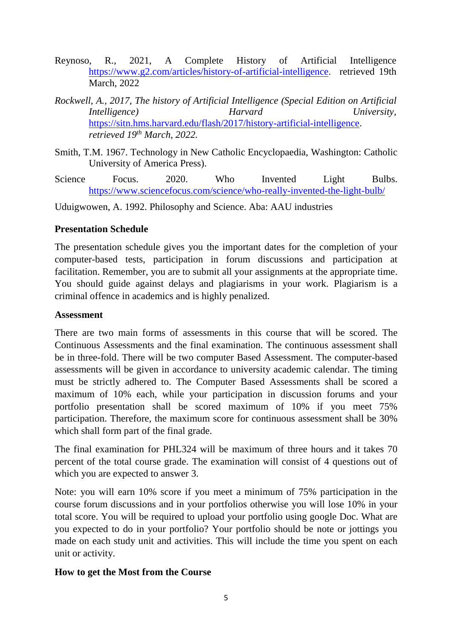- Reynoso, R., 2021, A Complete History of Artificial Intelligence https://www.g2.com/articles/history-of-artificial-intelligence. retrieved 19th March, 2022
- *Rockwell, A., 2017, The history of Artificial Intelligence (Special Edition on Artificial Intelligence) Harvard University,*  https://sitn.hms.harvard.edu/flash/2017/history-artificial-intelligence. *retrieved 19th March, 2022.*
- Smith, T.M. 1967. Technology in New Catholic Encyclopaedia, Washington: Catholic University of America Press).
- Science Focus. 2020. Who Invented Light Bulbs. https://www.sciencefocus.com/science/who-really-invented-the-light-bulb/

Uduigwowen, A. 1992. Philosophy and Science. Aba: AAU industries

## **Presentation Schedule**

The presentation schedule gives you the important dates for the completion of your computer-based tests, participation in forum discussions and participation at facilitation. Remember, you are to submit all your assignments at the appropriate time. You should guide against delays and plagiarisms in your work. Plagiarism is a criminal offence in academics and is highly penalized.

## **Assessment**

There are two main forms of assessments in this course that will be scored. The Continuous Assessments and the final examination. The continuous assessment shall be in three-fold. There will be two computer Based Assessment. The computer-based assessments will be given in accordance to university academic calendar. The timing must be strictly adhered to. The Computer Based Assessments shall be scored a maximum of 10% each, while your participation in discussion forums and your portfolio presentation shall be scored maximum of 10% if you meet 75% participation. Therefore, the maximum score for continuous assessment shall be 30% which shall form part of the final grade.

The final examination for PHL324 will be maximum of three hours and it takes 70 percent of the total course grade. The examination will consist of 4 questions out of which you are expected to answer 3.

Note: you will earn 10% score if you meet a minimum of 75% participation in the course forum discussions and in your portfolios otherwise you will lose 10% in your total score. You will be required to upload your portfolio using google Doc. What are you expected to do in your portfolio? Your portfolio should be note or jottings you made on each study unit and activities. This will include the time you spent on each unit or activity.

## **How to get the Most from the Course**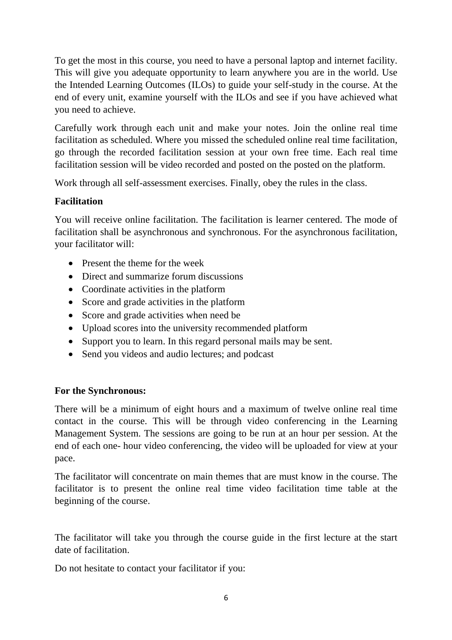To get the most in this course, you need to have a personal laptop and internet facility. This will give you adequate opportunity to learn anywhere you are in the world. Use the Intended Learning Outcomes (ILOs) to guide your self-study in the course. At the end of every unit, examine yourself with the ILOs and see if you have achieved what you need to achieve.

Carefully work through each unit and make your notes. Join the online real time facilitation as scheduled. Where you missed the scheduled online real time facilitation, go through the recorded facilitation session at your own free time. Each real time facilitation session will be video recorded and posted on the posted on the platform.

Work through all self-assessment exercises. Finally, obey the rules in the class.

## **Facilitation**

You will receive online facilitation. The facilitation is learner centered. The mode of facilitation shall be asynchronous and synchronous. For the asynchronous facilitation, your facilitator will:

- Present the theme for the week
- Direct and summarize forum discussions
- Coordinate activities in the platform
- Score and grade activities in the platform
- Score and grade activities when need be
- Upload scores into the university recommended platform
- Support you to learn. In this regard personal mails may be sent.
- Send you videos and audio lectures; and podcast

## **For the Synchronous:**

There will be a minimum of eight hours and a maximum of twelve online real time contact in the course. This will be through video conferencing in the Learning Management System. The sessions are going to be run at an hour per session. At the end of each one- hour video conferencing, the video will be uploaded for view at your pace.

The facilitator will concentrate on main themes that are must know in the course. The facilitator is to present the online real time video facilitation time table at the beginning of the course.

The facilitator will take you through the course guide in the first lecture at the start date of facilitation.

Do not hesitate to contact your facilitator if you: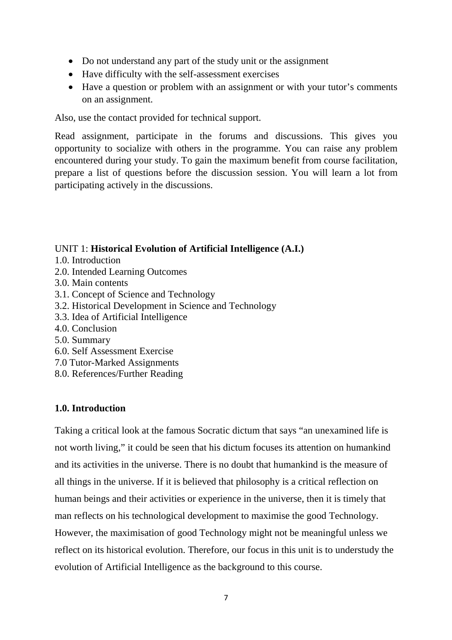- Do not understand any part of the study unit or the assignment
- Have difficulty with the self-assessment exercises
- Have a question or problem with an assignment or with your tutor's comments on an assignment.

Also, use the contact provided for technical support.

Read assignment, participate in the forums and discussions. This gives you opportunity to socialize with others in the programme. You can raise any problem encountered during your study. To gain the maximum benefit from course facilitation, prepare a list of questions before the discussion session. You will learn a lot from participating actively in the discussions.

## UNIT 1: **Historical Evolution of Artificial Intelligence (A.I.)**

- 1.0. Introduction
- 2.0. Intended Learning Outcomes
- 3.0. Main contents
- 3.1. Concept of Science and Technology
- 3.2. Historical Development in Science and Technology
- 3.3. Idea of Artificial Intelligence
- 4.0. Conclusion
- 5.0. Summary
- 6.0. Self Assessment Exercise
- 7.0 Tutor-Marked Assignments
- 8.0. References/Further Reading

## **1.0. Introduction**

Taking a critical look at the famous Socratic dictum that says "an unexamined life is not worth living," it could be seen that his dictum focuses its attention on humankind and its activities in the universe. There is no doubt that humankind is the measure of all things in the universe. If it is believed that philosophy is a critical reflection on human beings and their activities or experience in the universe, then it is timely that man reflects on his technological development to maximise the good Technology. However, the maximisation of good Technology might not be meaningful unless we reflect on its historical evolution. Therefore, our focus in this unit is to understudy the evolution of Artificial Intelligence as the background to this course.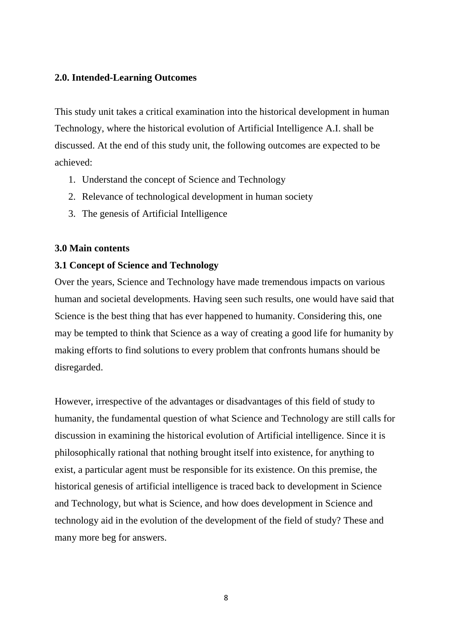#### **2.0. Intended-Learning Outcomes**

This study unit takes a critical examination into the historical development in human Technology, where the historical evolution of Artificial Intelligence A.I. shall be discussed. At the end of this study unit, the following outcomes are expected to be achieved:

- 1. Understand the concept of Science and Technology
- 2. Relevance of technological development in human society
- 3. The genesis of Artificial Intelligence

## **3.0 Main contents**

## **3.1 Concept of Science and Technology**

Over the years, Science and Technology have made tremendous impacts on various human and societal developments. Having seen such results, one would have said that Science is the best thing that has ever happened to humanity. Considering this, one may be tempted to think that Science as a way of creating a good life for humanity by making efforts to find solutions to every problem that confronts humans should be disregarded.

However, irrespective of the advantages or disadvantages of this field of study to humanity, the fundamental question of what Science and Technology are still calls for discussion in examining the historical evolution of Artificial intelligence. Since it is philosophically rational that nothing brought itself into existence, for anything to exist, a particular agent must be responsible for its existence. On this premise, the historical genesis of artificial intelligence is traced back to development in Science and Technology, but what is Science, and how does development in Science and technology aid in the evolution of the development of the field of study? These and many more beg for answers.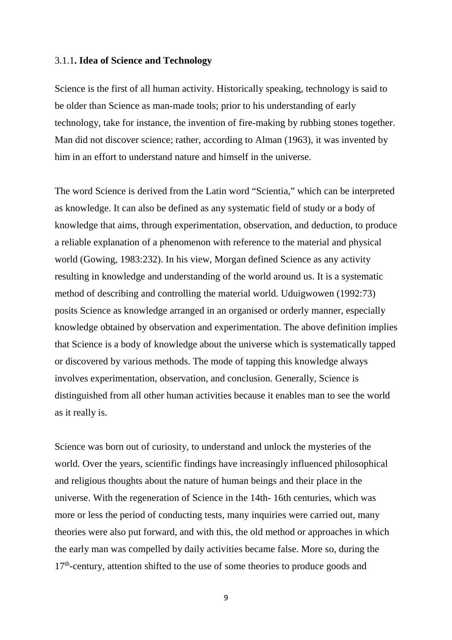#### 3.1.1**. Idea of Science and Technology**

Science is the first of all human activity. Historically speaking, technology is said to be older than Science as man-made tools; prior to his understanding of early technology, take for instance, the invention of fire-making by rubbing stones together. Man did not discover science; rather, according to Alman (1963), it was invented by him in an effort to understand nature and himself in the universe.

The word Science is derived from the Latin word "Scientia," which can be interpreted as knowledge. It can also be defined as any systematic field of study or a body of knowledge that aims, through experimentation, observation, and deduction, to produce a reliable explanation of a phenomenon with reference to the material and physical world (Gowing, 1983:232). In his view, Morgan defined Science as any activity resulting in knowledge and understanding of the world around us. It is a systematic method of describing and controlling the material world. Uduigwowen (1992:73) posits Science as knowledge arranged in an organised or orderly manner, especially knowledge obtained by observation and experimentation. The above definition implies that Science is a body of knowledge about the universe which is systematically tapped or discovered by various methods. The mode of tapping this knowledge always involves experimentation, observation, and conclusion. Generally, Science is distinguished from all other human activities because it enables man to see the world as it really is.

Science was born out of curiosity, to understand and unlock the mysteries of the world. Over the years, scientific findings have increasingly influenced philosophical and religious thoughts about the nature of human beings and their place in the universe. With the regeneration of Science in the 14th- 16th centuries, which was more or less the period of conducting tests, many inquiries were carried out, many theories were also put forward, and with this, the old method or approaches in which the early man was compelled by daily activities became false. More so, during the  $17<sup>th</sup>$ -century, attention shifted to the use of some theories to produce goods and

9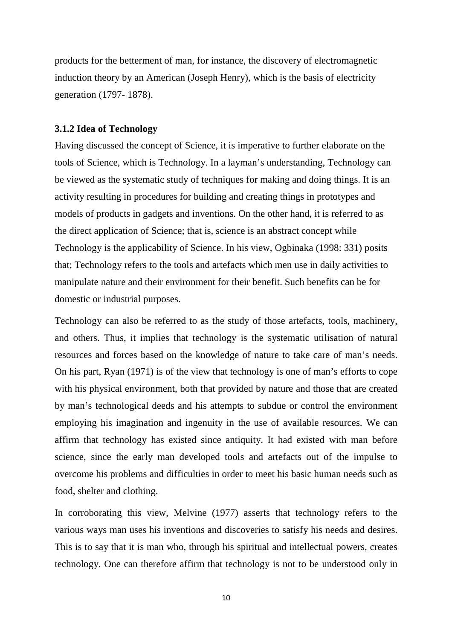products for the betterment of man, for instance, the discovery of electromagnetic induction theory by an American (Joseph Henry), which is the basis of electricity generation (1797- 1878).

## **3.1.2 Idea of Technology**

Having discussed the concept of Science, it is imperative to further elaborate on the tools of Science, which is Technology. In a layman's understanding, Technology can be viewed as the systematic study of techniques for making and doing things. It is an activity resulting in procedures for building and creating things in prototypes and models of products in gadgets and inventions. On the other hand, it is referred to as the direct application of Science; that is, science is an abstract concept while Technology is the applicability of Science. In his view, Ogbinaka (1998: 331) posits that; Technology refers to the tools and artefacts which men use in daily activities to manipulate nature and their environment for their benefit. Such benefits can be for domestic or industrial purposes.

Technology can also be referred to as the study of those artefacts, tools, machinery, and others. Thus, it implies that technology is the systematic utilisation of natural resources and forces based on the knowledge of nature to take care of man's needs. On his part, Ryan (1971) is of the view that technology is one of man's efforts to cope with his physical environment, both that provided by nature and those that are created by man's technological deeds and his attempts to subdue or control the environment employing his imagination and ingenuity in the use of available resources. We can affirm that technology has existed since antiquity. It had existed with man before science, since the early man developed tools and artefacts out of the impulse to overcome his problems and difficulties in order to meet his basic human needs such as food, shelter and clothing.

In corroborating this view, Melvine (1977) asserts that technology refers to the various ways man uses his inventions and discoveries to satisfy his needs and desires. This is to say that it is man who, through his spiritual and intellectual powers, creates technology. One can therefore affirm that technology is not to be understood only in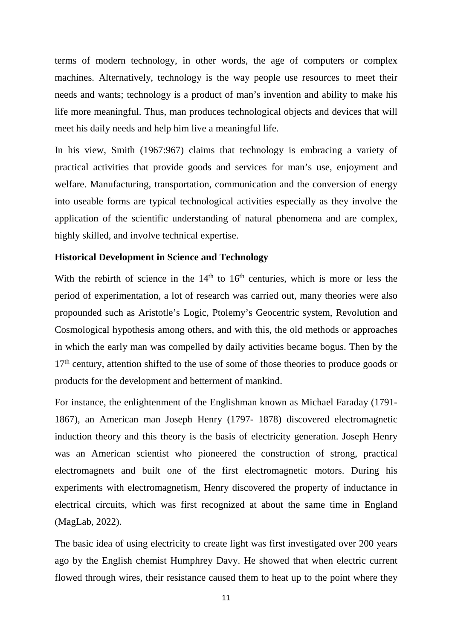terms of modern technology, in other words, the age of computers or complex machines. Alternatively, technology is the way people use resources to meet their needs and wants; technology is a product of man's invention and ability to make his life more meaningful. Thus, man produces technological objects and devices that will meet his daily needs and help him live a meaningful life.

In his view, Smith (1967:967) claims that technology is embracing a variety of practical activities that provide goods and services for man's use, enjoyment and welfare. Manufacturing, transportation, communication and the conversion of energy into useable forms are typical technological activities especially as they involve the application of the scientific understanding of natural phenomena and are complex, highly skilled, and involve technical expertise.

## **Historical Development in Science and Technology**

With the rebirth of science in the  $14<sup>th</sup>$  to  $16<sup>th</sup>$  centuries, which is more or less the period of experimentation, a lot of research was carried out, many theories were also propounded such as Aristotle's Logic, Ptolemy's Geocentric system, Revolution and Cosmological hypothesis among others, and with this, the old methods or approaches in which the early man was compelled by daily activities became bogus. Then by the 17<sup>th</sup> century, attention shifted to the use of some of those theories to produce goods or products for the development and betterment of mankind.

For instance, the enlightenment of the Englishman known as Michael Faraday (1791- 1867), an American man Joseph Henry (1797- 1878) discovered electromagnetic induction theory and this theory is the basis of electricity generation. Joseph Henry was an American scientist who pioneered the construction of strong, practical electromagnets and built one of the first electromagnetic motors. During his experiments with electromagnetism, Henry discovered the property of inductance in electrical circuits, which was first recognized at about the same time in England (MagLab, 2022).

The basic idea of using electricity to create light was first investigated over 200 years ago by the English chemist Humphrey Davy. He showed that when electric current flowed through wires, their resistance caused them to heat up to the point where they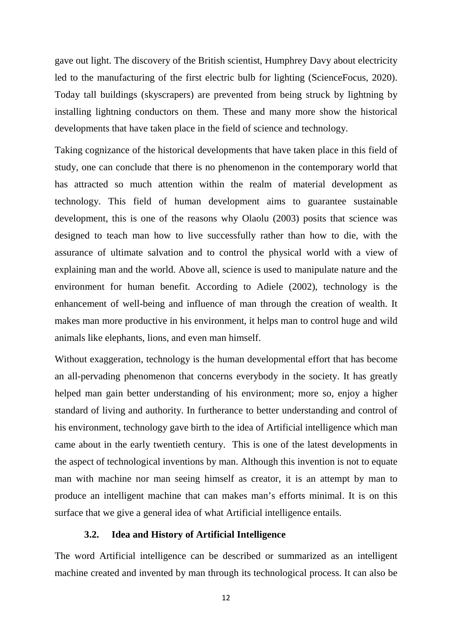gave out light. The discovery of the British scientist, Humphrey Davy about electricity led to the manufacturing of the first electric bulb for lighting (ScienceFocus, 2020). Today tall buildings (skyscrapers) are prevented from being struck by lightning by installing lightning conductors on them. These and many more show the historical developments that have taken place in the field of science and technology.

Taking cognizance of the historical developments that have taken place in this field of study, one can conclude that there is no phenomenon in the contemporary world that has attracted so much attention within the realm of material development as technology. This field of human development aims to guarantee sustainable development, this is one of the reasons why Olaolu (2003) posits that science was designed to teach man how to live successfully rather than how to die, with the assurance of ultimate salvation and to control the physical world with a view of explaining man and the world. Above all, science is used to manipulate nature and the environment for human benefit. According to Adiele (2002), technology is the enhancement of well-being and influence of man through the creation of wealth. It makes man more productive in his environment, it helps man to control huge and wild animals like elephants, lions, and even man himself.

Without exaggeration, technology is the human developmental effort that has become an all-pervading phenomenon that concerns everybody in the society. It has greatly helped man gain better understanding of his environment; more so, enjoy a higher standard of living and authority. In furtherance to better understanding and control of his environment, technology gave birth to the idea of Artificial intelligence which man came about in the early twentieth century. This is one of the latest developments in the aspect of technological inventions by man. Although this invention is not to equate man with machine nor man seeing himself as creator, it is an attempt by man to produce an intelligent machine that can makes man's efforts minimal. It is on this surface that we give a general idea of what Artificial intelligence entails.

#### **3.2. Idea and History of Artificial Intelligence**

The word Artificial intelligence can be described or summarized as an intelligent machine created and invented by man through its technological process. It can also be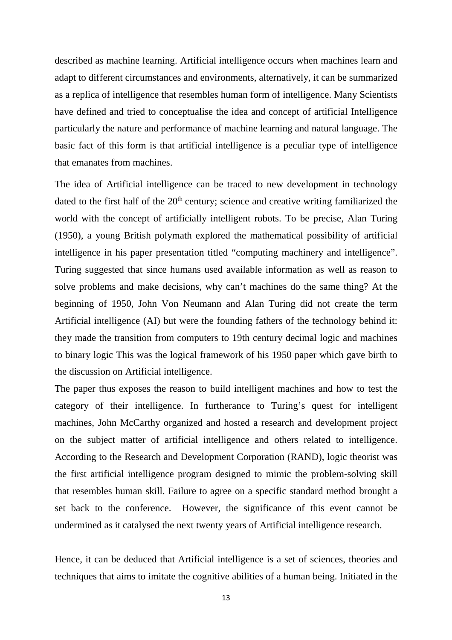described as machine learning. Artificial intelligence occurs when machines learn and adapt to different circumstances and environments, alternatively, it can be summarized as a replica of intelligence that resembles human form of intelligence. Many Scientists have defined and tried to conceptualise the idea and concept of artificial Intelligence particularly the nature and performance of machine learning and natural language. The basic fact of this form is that artificial intelligence is a peculiar type of intelligence that emanates from machines.

The idea of Artificial intelligence can be traced to new development in technology dated to the first half of the  $20<sup>th</sup>$  century; science and creative writing familiarized the world with the concept of artificially intelligent robots. To be precise, Alan Turing (1950), a young British polymath explored the mathematical possibility of artificial intelligence in his paper presentation titled "computing machinery and intelligence". Turing suggested that since humans used available information as well as reason to solve problems and make decisions, why can't machines do the same thing? At the beginning of 1950, John Von Neumann and Alan Turing did not create the term Artificial intelligence (AI) but were the founding fathers of the technology behind it: they made the transition from computers to 19th century decimal logic and machines to binary logic This was the logical framework of his 1950 paper which gave birth to the discussion on Artificial intelligence.

The paper thus exposes the reason to build intelligent machines and how to test the category of their intelligence. In furtherance to Turing's quest for intelligent machines, John McCarthy organized and hosted a research and development project on the subject matter of artificial intelligence and others related to intelligence. According to the Research and Development Corporation (RAND), logic theorist was the first artificial intelligence program designed to mimic the problem-solving skill that resembles human skill. Failure to agree on a specific standard method brought a set back to the conference. However, the significance of this event cannot be undermined as it catalysed the next twenty years of Artificial intelligence research.

Hence, it can be deduced that Artificial intelligence is a set of sciences, theories and techniques that aims to imitate the cognitive abilities of a human being. Initiated in the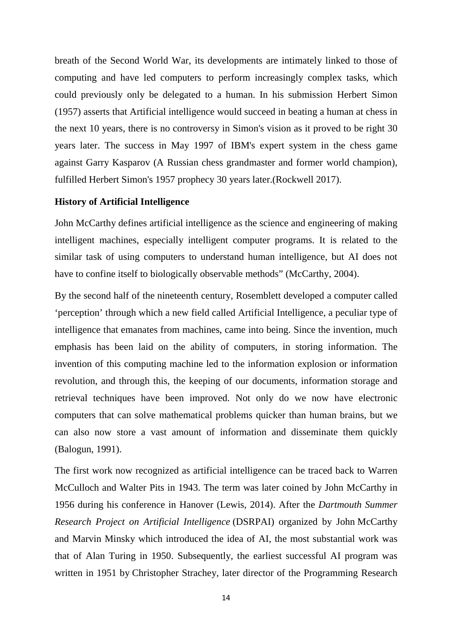breath of the Second World War, its developments are intimately linked to those of computing and have led computers to perform increasingly complex tasks, which could previously only be delegated to a human. In his submission Herbert Simon (1957) asserts that Artificial intelligence would succeed in beating a human at chess in the next 10 years, there is no controversy in Simon's vision as it proved to be right 30 years later. The success in May 1997 of IBM's expert system in the chess game against Garry Kasparov (A Russian chess grandmaster and former world champion), fulfilled Herbert Simon's 1957 prophecy 30 years later.(Rockwell 2017).

#### **History of Artificial Intelligence**

John McCarthy defines artificial intelligence as the science and engineering of making intelligent machines, especially intelligent computer programs. It is related to the similar task of using computers to understand human intelligence, but AI does not have to confine itself to biologically observable methods" (McCarthy, 2004).

By the second half of the nineteenth century, Rosemblett developed a computer called 'perception' through which a new field called Artificial Intelligence, a peculiar type of intelligence that emanates from machines, came into being. Since the invention, much emphasis has been laid on the ability of computers, in storing information. The invention of this computing machine led to the information explosion or information revolution, and through this, the keeping of our documents, information storage and retrieval techniques have been improved. Not only do we now have electronic computers that can solve mathematical problems quicker than human brains, but we can also now store a vast amount of information and disseminate them quickly (Balogun, 1991).

The first work now recognized as artificial intelligence can be traced back to Warren McCulloch and Walter Pits in 1943. The term was later coined by John McCarthy in 1956 during his conference in Hanover (Lewis, 2014). After the *Dartmouth Summer Research Project on Artificial Intelligence* (DSRPAI) organized by John McCarthy and Marvin Minsky which introduced the idea of AI, the most substantial work was that of Alan Turing in 1950. Subsequently, the earliest successful AI program was written in 1951 by Christopher Strachey, later director of the Programming Research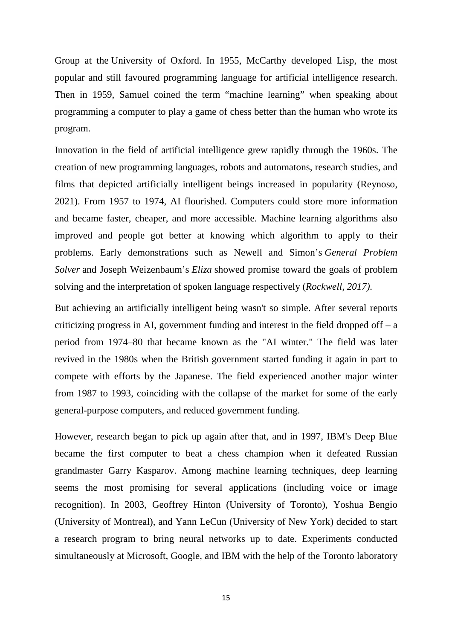Group at the University of Oxford. In 1955, McCarthy developed Lisp, the most popular and still favoured programming language for artificial intelligence research. Then in 1959, Samuel coined the term "machine learning" when speaking about programming a computer to play a game of chess better than the human who wrote its program.

Innovation in the field of artificial intelligence grew rapidly through the 1960s. The creation of new programming languages, robots and automatons, research studies, and films that depicted artificially intelligent beings increased in popularity (Reynoso, 2021). From 1957 to 1974, AI flourished. Computers could store more information and became faster, cheaper, and more accessible. Machine learning algorithms also improved and people got better at knowing which algorithm to apply to their problems. Early demonstrations such as Newell and Simon's *General Problem Solver* and Joseph Weizenbaum's *Eliza* showed promise toward the goals of problem solving and the interpretation of spoken language respectively (*Rockwell, 2017).*

But achieving an artificially intelligent being wasn't so simple. After several reports criticizing progress in AI, government funding and interest in the field dropped off  $- a$ period from 1974–80 that became known as the "AI winter." The field was later revived in the 1980s when the British government started funding it again in part to compete with efforts by the Japanese. The field experienced another major winter from 1987 to 1993, coinciding with the collapse of the market for some of the early general-purpose computers, and reduced government funding.

However, research began to pick up again after that, and in 1997, IBM's Deep Blue became the first computer to beat a chess champion when it defeated Russian grandmaster Garry Kasparov. Among machine learning techniques, deep learning seems the most promising for several applications (including voice or image recognition). In 2003, Geoffrey Hinton (University of Toronto), Yoshua Bengio (University of Montreal), and Yann LeCun (University of New York) decided to start a research program to bring neural networks up to date. Experiments conducted simultaneously at Microsoft, Google, and IBM with the help of the Toronto laboratory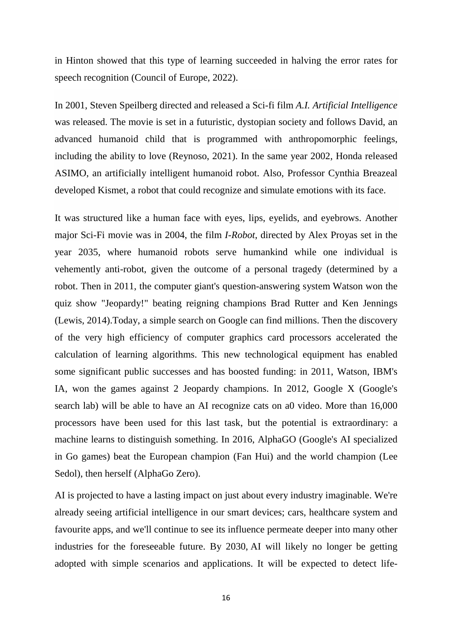in Hinton showed that this type of learning succeeded in halving the error rates for speech recognition (Council of Europe, 2022).

In 2001, Steven Speilberg directed and released a Sci-fi film *A.I. Artificial Intelligence* was released. The movie is set in a futuristic, dystopian society and follows David, an advanced humanoid child that is programmed with anthropomorphic feelings, including the ability to love (Reynoso, 2021). In the same year 2002, Honda released ASIMO, an artificially intelligent humanoid robot. Also, Professor Cynthia Breazeal developed Kismet, a robot that could recognize and simulate emotions with its face.

It was structured like a human face with eyes, lips, eyelids, and eyebrows. Another major Sci-Fi movie was in 2004, the film *I-Robot*, directed by Alex Proyas set in the year 2035, where humanoid robots serve humankind while one individual is vehemently anti-robot, given the outcome of a personal tragedy (determined by a robot. Then in 2011, the computer giant's question-answering system Watson won the quiz show "Jeopardy!" beating reigning champions Brad Rutter and Ken Jennings (Lewis, 2014).Today, a simple search on Google can find millions. Then the discovery of the very high efficiency of computer graphics card processors accelerated the calculation of learning algorithms. This new technological equipment has enabled some significant public successes and has boosted funding: in 2011, Watson, IBM's IA, won the games against 2 Jeopardy champions. In 2012, Google X (Google's search lab) will be able to have an AI recognize cats on a0 video. More than 16,000 processors have been used for this last task, but the potential is extraordinary: a machine learns to distinguish something. In 2016, AlphaGO (Google's AI specialized in Go games) beat the European champion (Fan Hui) and the world champion (Lee Sedol), then herself (AlphaGo Zero).

AI is projected to have a lasting impact on just about every industry imaginable. We're already seeing artificial intelligence in our smart devices; cars, healthcare system and favourite apps, and we'll continue to see its influence permeate deeper into many other industries for the foreseeable future. By 2030, AI will likely no longer be getting adopted with simple scenarios and applications. It will be expected to detect life-

16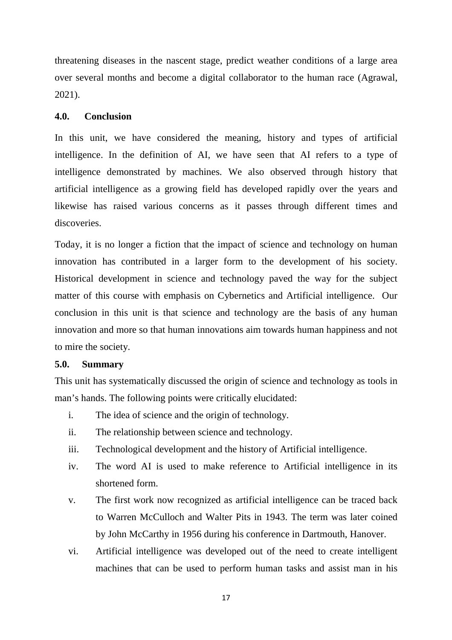threatening diseases in the nascent stage, predict weather conditions of a large area over several months and become a digital collaborator to the human race (Agrawal, 2021).

#### **4.0. Conclusion**

In this unit, we have considered the meaning, history and types of artificial intelligence. In the definition of AI, we have seen that AI refers to a type of intelligence demonstrated by machines. We also observed through history that artificial intelligence as a growing field has developed rapidly over the years and likewise has raised various concerns as it passes through different times and discoveries.

Today, it is no longer a fiction that the impact of science and technology on human innovation has contributed in a larger form to the development of his society. Historical development in science and technology paved the way for the subject matter of this course with emphasis on Cybernetics and Artificial intelligence. Our conclusion in this unit is that science and technology are the basis of any human innovation and more so that human innovations aim towards human happiness and not to mire the society.

#### **5.0. Summary**

This unit has systematically discussed the origin of science and technology as tools in man's hands. The following points were critically elucidated:

- i. The idea of science and the origin of technology.
- ii. The relationship between science and technology.
- iii. Technological development and the history of Artificial intelligence.
- iv. The word AI is used to make reference to Artificial intelligence in its shortened form.
- v. The first work now recognized as artificial intelligence can be traced back to Warren McCulloch and Walter Pits in 1943. The term was later coined by John McCarthy in 1956 during his conference in Dartmouth, Hanover.
- vi. Artificial intelligence was developed out of the need to create intelligent machines that can be used to perform human tasks and assist man in his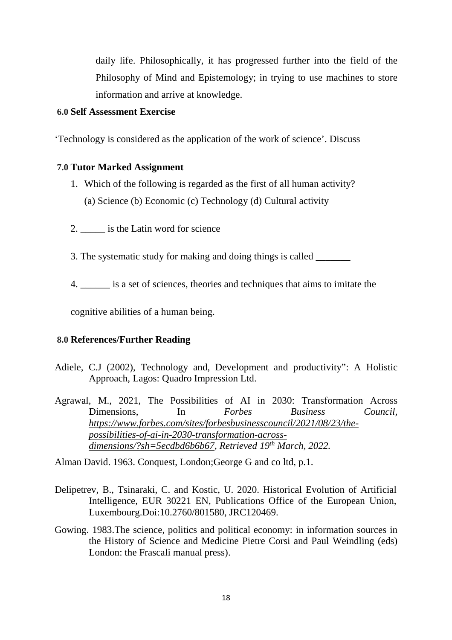daily life. Philosophically, it has progressed further into the field of the Philosophy of Mind and Epistemology; in trying to use machines to store information and arrive at knowledge.

#### **6.0 Self Assessment Exercise**

'Technology is considered as the application of the work of science'. Discuss

## **7.0 Tutor Marked Assignment**

- 1. Which of the following is regarded as the first of all human activity? (a) Science (b) Economic (c) Technology (d) Cultural activity
- 2. **a** is the Latin word for science
- 3. The systematic study for making and doing things is called
- 4. \_\_\_\_\_\_ is a set of sciences, theories and techniques that aims to imitate the

cognitive abilities of a human being.

#### **8.0 References/Further Reading**

- Adiele, C.J (2002), Technology and, Development and productivity": A Holistic Approach, Lagos: Quadro Impression Ltd.
- Agrawal, M., 2021, The Possibilities of AI in 2030: Transformation Across Dimensions, In *Forbes Business Council, https://www.forbes.com/sites/forbesbusinesscouncil/2021/08/23/thepossibilities-of-ai-in-2030-transformation-acrossdimensions/?sh=5ecdbd6b6b67, Retrieved 19th March, 2022.*

Alman David. 1963. Conquest, London;George G and co ltd, p.1.

- Delipetrev, B., Tsinaraki, C. and Kostic, U. 2020. Historical Evolution of Artificial Intelligence, EUR 30221 EN, Publications Office of the European Union, Luxembourg.Doi:10.2760/801580, JRC120469.
- Gowing. 1983.The science, politics and political economy: in information sources in the History of Science and Medicine Pietre Corsi and Paul Weindling (eds) London: the Frascali manual press).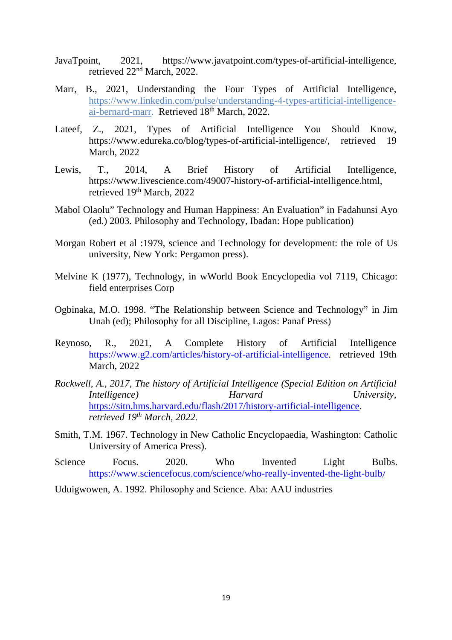- JavaTpoint, 2021, https://www.javatpoint.com/types-of-artificial-intelligence, retrieved 22nd March, 2022.
- Marr, B., 2021, Understanding the Four Types of Artificial Intelligence, https://www.linkedin.com/pulse/understanding-4-types-artificial-intelligenceai-bernard-marr. Retrieved 18<sup>th</sup> March, 2022.
- Lateef, Z., 2021, Types of Artificial Intelligence You Should Know, https://www.edureka.co/blog/types-of-artificial-intelligence/, retrieved 19 March, 2022
- Lewis, T., 2014, A Brief History of Artificial Intelligence, https://www.livescience.com/49007-history-of-artificial-intelligence.html, retrieved 19th March, 2022
- Mabol Olaolu" Technology and Human Happiness: An Evaluation" in Fadahunsi Ayo (ed.) 2003. Philosophy and Technology, Ibadan: Hope publication)
- Morgan Robert et al :1979, science and Technology for development: the role of Us university, New York: Pergamon press).
- Melvine K (1977), Technology, in wWorld Book Encyclopedia vol 7119, Chicago: field enterprises Corp
- Ogbinaka, M.O. 1998. "The Relationship between Science and Technology" in Jim Unah (ed); Philosophy for all Discipline, Lagos: Panaf Press)
- Reynoso, R., 2021, A Complete History of Artificial Intelligence https://www.g2.com/articles/history-of-artificial-intelligence. retrieved 19th March, 2022
- *Rockwell, A., 2017, The history of Artificial Intelligence (Special Edition on Artificial Intelligence*) Harvard https://sitn.hms.harvard.edu/flash/2017/history-artificial-intelligence. *retrieved 19th March, 2022.*
- Smith, T.M. 1967. Technology in New Catholic Encyclopaedia, Washington: Catholic University of America Press).
- Science Focus. 2020. Who Invented Light Bulbs. https://www.sciencefocus.com/science/who-really-invented-the-light-bulb/
- Uduigwowen, A. 1992. Philosophy and Science. Aba: AAU industries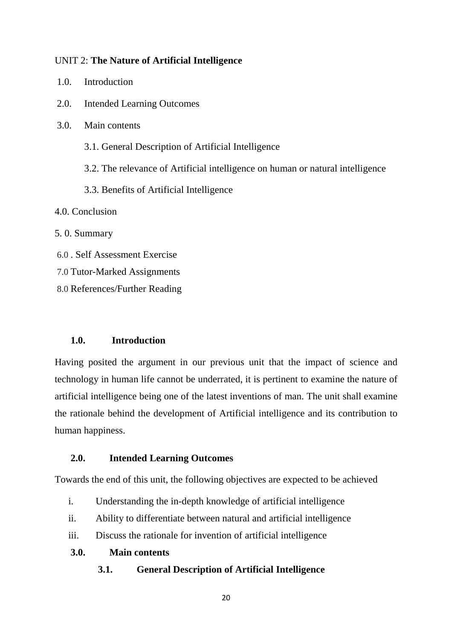#### UNIT 2: **The Nature of Artificial Intelligence**

- 2.0. Intended Learning Outcomes
- 3.0. Main contents
	- 3.1. General Description of Artificial Intelligence
	- 3.2. The relevance of Artificial intelligence on human or natural intelligence
	- 3.3. Benefits of Artificial Intelligence

4.0. Conclusion

5. 0. Summary

- 6.0 . Self Assessment Exercise
- 7.0 Tutor-Marked Assignments
- 8.0 References/Further Reading

#### **1.0. Introduction**

Having posited the argument in our previous unit that the impact of science and technology in human life cannot be underrated, it is pertinent to examine the nature of artificial intelligence being one of the latest inventions of man. The unit shall examine the rationale behind the development of Artificial intelligence and its contribution to human happiness.

#### **2.0. Intended Learning Outcomes**

Towards the end of this unit, the following objectives are expected to be achieved

- i. Understanding the in-depth knowledge of artificial intelligence
- ii. Ability to differentiate between natural and artificial intelligence
- iii. Discuss the rationale for invention of artificial intelligence

**3.0. Main contents** 

**3.1. General Description of Artificial Intelligence** 

20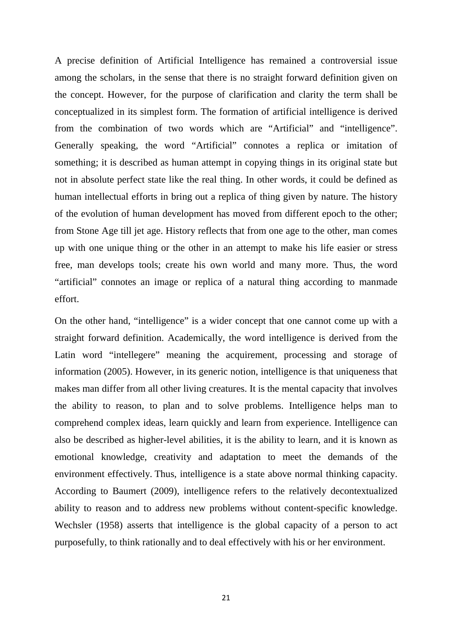A precise definition of Artificial Intelligence has remained a controversial issue among the scholars, in the sense that there is no straight forward definition given on the concept. However, for the purpose of clarification and clarity the term shall be conceptualized in its simplest form. The formation of artificial intelligence is derived from the combination of two words which are "Artificial" and "intelligence". Generally speaking, the word "Artificial" connotes a replica or imitation of something; it is described as human attempt in copying things in its original state but not in absolute perfect state like the real thing. In other words, it could be defined as human intellectual efforts in bring out a replica of thing given by nature. The history of the evolution of human development has moved from different epoch to the other; from Stone Age till jet age. History reflects that from one age to the other, man comes up with one unique thing or the other in an attempt to make his life easier or stress free, man develops tools; create his own world and many more. Thus, the word "artificial" connotes an image or replica of a natural thing according to manmade effort.

On the other hand, "intelligence" is a wider concept that one cannot come up with a straight forward definition. Academically, the word intelligence is derived from the Latin word "intellegere" meaning the acquirement, processing and storage of information (2005). However, in its generic notion, intelligence is that uniqueness that makes man differ from all other living creatures. It is the mental capacity that involves the ability to reason, to plan and to solve problems. Intelligence helps man to comprehend complex ideas, learn quickly and learn from experience. Intelligence can also be described as higher-level abilities, it is the ability to learn, and it is known as emotional knowledge, creativity and adaptation to meet the demands of the environment effectively. Thus, intelligence is a state above normal thinking capacity. According to Baumert (2009), intelligence refers to the relatively decontextualized ability to reason and to address new problems without content-specific knowledge. Wechsler (1958) asserts that intelligence is the global capacity of a person to act purposefully, to think rationally and to deal effectively with his or her environment.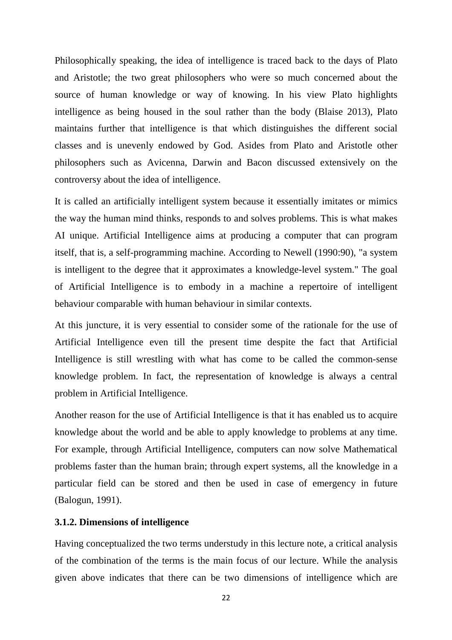Philosophically speaking, the idea of intelligence is traced back to the days of Plato and Aristotle; the two great philosophers who were so much concerned about the source of human knowledge or way of knowing. In his view Plato highlights intelligence as being housed in the soul rather than the body (Blaise 2013), Plato maintains further that intelligence is that which distinguishes the different social classes and is unevenly endowed by God. Asides from Plato and Aristotle other philosophers such as Avicenna, Darwin and Bacon discussed extensively on the controversy about the idea of intelligence.

It is called an artificially intelligent system because it essentially imitates or mimics the way the human mind thinks, responds to and solves problems. This is what makes AI unique. Artificial Intelligence aims at producing a computer that can program itself, that is, a self-programming machine. According to Newell (1990:90), "a system is intelligent to the degree that it approximates a knowledge-level system." The goal of Artificial Intelligence is to embody in a machine a repertoire of intelligent behaviour comparable with human behaviour in similar contexts.

At this juncture, it is very essential to consider some of the rationale for the use of Artificial Intelligence even till the present time despite the fact that Artificial Intelligence is still wrestling with what has come to be called the common-sense knowledge problem. In fact, the representation of knowledge is always a central problem in Artificial Intelligence.

Another reason for the use of Artificial Intelligence is that it has enabled us to acquire knowledge about the world and be able to apply knowledge to problems at any time. For example, through Artificial Intelligence, computers can now solve Mathematical problems faster than the human brain; through expert systems, all the knowledge in a particular field can be stored and then be used in case of emergency in future (Balogun, 1991).

#### **3.1.2. Dimensions of intelligence**

Having conceptualized the two terms understudy in this lecture note, a critical analysis of the combination of the terms is the main focus of our lecture. While the analysis given above indicates that there can be two dimensions of intelligence which are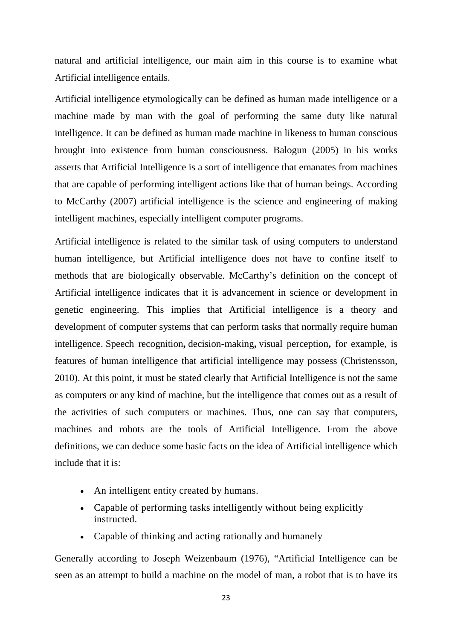natural and artificial intelligence, our main aim in this course is to examine what Artificial intelligence entails.

Artificial intelligence etymologically can be defined as human made intelligence or a machine made by man with the goal of performing the same duty like natural intelligence. It can be defined as human made machine in likeness to human conscious brought into existence from human consciousness. Balogun (2005) in his works asserts that Artificial Intelligence is a sort of intelligence that emanates from machines that are capable of performing intelligent actions like that of human beings. According to McCarthy (2007) artificial intelligence is the science and engineering of making intelligent machines, especially intelligent computer programs.

Artificial intelligence is related to the similar task of using computers to understand human intelligence, but Artificial intelligence does not have to confine itself to methods that are biologically observable. McCarthy's definition on the concept of Artificial intelligence indicates that it is advancement in science or development in genetic engineering. This implies that Artificial intelligence is a theory and development of computer systems that can perform tasks that normally require human intelligence. Speech recognition**,** decision-making**,** visual perception**,** for example, is features of human intelligence that artificial intelligence may possess (Christensson, 2010). At this point, it must be stated clearly that Artificial Intelligence is not the same as computers or any kind of machine, but the intelligence that comes out as a result of the activities of such computers or machines. Thus, one can say that computers, machines and robots are the tools of Artificial Intelligence. From the above definitions, we can deduce some basic facts on the idea of Artificial intelligence which include that it is:

- An intelligent entity created by humans.
- Capable of performing tasks intelligently without being explicitly instructed.
- Capable of thinking and acting rationally and humanely

Generally according to Joseph Weizenbaum (1976), "Artificial Intelligence can be seen as an attempt to build a machine on the model of man, a robot that is to have its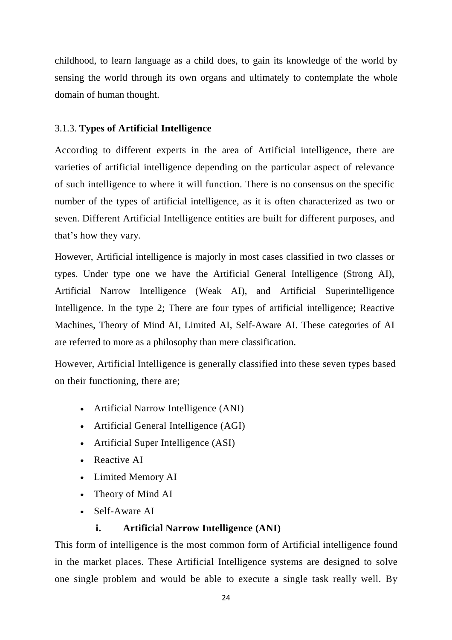childhood, to learn language as a child does, to gain its knowledge of the world by sensing the world through its own organs and ultimately to contemplate the whole domain of human thought.

## 3.1.3. **Types of Artificial Intelligence**

According to different experts in the area of Artificial intelligence, there are varieties of artificial intelligence depending on the particular aspect of relevance of such intelligence to where it will function. There is no consensus on the specific number of the types of artificial intelligence, as it is often characterized as two or seven. Different Artificial Intelligence entities are built for different purposes, and that's how they vary.

However, Artificial intelligence is majorly in most cases classified in two classes or types. Under type one we have the Artificial General Intelligence (Strong AI), Artificial Narrow Intelligence (Weak AI), and Artificial Superintelligence Intelligence. In the type 2; There are four types of artificial intelligence; Reactive Machines, Theory of Mind AI, Limited AI, Self-Aware AI. These categories of AI are referred to more as a philosophy than mere classification.

However, Artificial Intelligence is generally classified into these seven types based on their functioning, there are;

- Artificial Narrow Intelligence (ANI)
- Artificial General Intelligence (AGI)
- Artificial Super Intelligence (ASI)
- Reactive AI
- Limited Memory AI
- Theory of Mind AI
- Self-Aware AI

## **i. Artificial Narrow Intelligence (ANI)**

This form of intelligence is the most common form of Artificial intelligence found in the market places. These Artificial Intelligence systems are designed to solve one single problem and would be able to execute a single task really well. By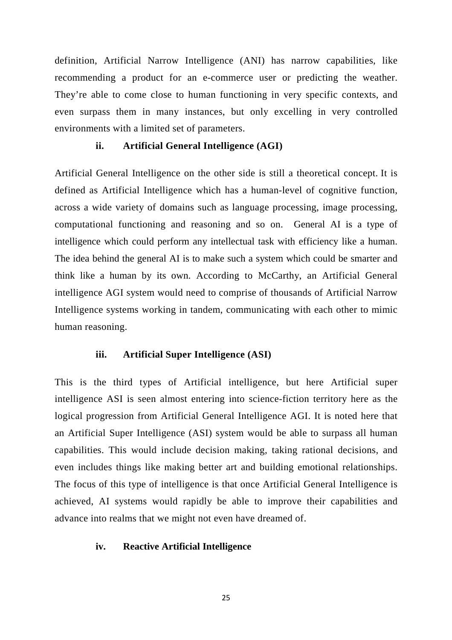definition, Artificial Narrow Intelligence (ANI) has narrow capabilities, like recommending a product for an e-commerce user or predicting the weather. They're able to come close to human functioning in very specific contexts, and even surpass them in many instances, but only excelling in very controlled environments with a limited set of parameters.

#### **ii. Artificial General Intelligence (AGI)**

Artificial General Intelligence on the other side is still a theoretical concept. It is defined as Artificial Intelligence which has a human-level of cognitive function, across a wide variety of domains such as language processing, image processing, computational functioning and reasoning and so on. General AI is a type of intelligence which could perform any intellectual task with efficiency like a human. The idea behind the general AI is to make such a system which could be smarter and think like a human by its own. According to McCarthy, an Artificial General intelligence AGI system would need to comprise of thousands of Artificial Narrow Intelligence systems working in tandem, communicating with each other to mimic human reasoning.

#### **iii. Artificial Super Intelligence (ASI)**

This is the third types of Artificial intelligence, but here Artificial super intelligence ASI is seen almost entering into science-fiction territory here as the logical progression from Artificial General Intelligence AGI. It is noted here that an Artificial Super Intelligence (ASI) system would be able to surpass all human capabilities. This would include decision making, taking rational decisions, and even includes things like making better art and building emotional relationships. The focus of this type of intelligence is that once Artificial General Intelligence is achieved, AI systems would rapidly be able to improve their capabilities and advance into realms that we might not even have dreamed of.

#### **iv. Reactive Artificial Intelligence**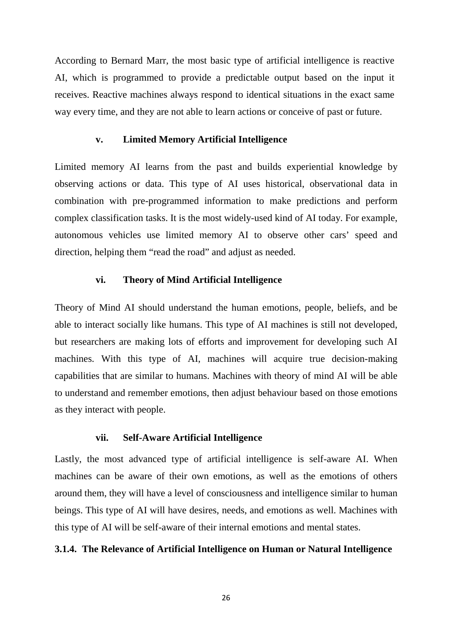According to Bernard Marr, the most basic type of artificial intelligence is reactive AI, which is programmed to provide a predictable output based on the input it receives. Reactive machines always respond to identical situations in the exact same way every time, and they are not able to learn actions or conceive of past or future.

#### **v. Limited Memory Artificial Intelligence**

Limited memory AI learns from the past and builds experiential knowledge by observing actions or data. This type of AI uses historical, observational data in combination with pre-programmed information to make predictions and perform complex classification tasks. It is the most widely-used kind of AI today. For example, autonomous vehicles use limited memory AI to observe other cars' speed and direction, helping them "read the road" and adjust as needed.

#### **vi. Theory of Mind Artificial Intelligence**

Theory of Mind AI should understand the human emotions, people, beliefs, and be able to interact socially like humans. This type of AI machines is still not developed, but researchers are making lots of efforts and improvement for developing such AI machines. With this type of AI, machines will acquire true decision-making capabilities that are similar to humans. Machines with theory of mind AI will be able to understand and remember emotions, then adjust behaviour based on those emotions as they interact with people.

#### **vii. Self-Aware Artificial Intelligence**

Lastly, the most advanced type of artificial intelligence is self-aware AI. When machines can be aware of their own emotions, as well as the emotions of others around them, they will have a level of consciousness and intelligence similar to human beings. This type of AI will have desires, needs, and emotions as well. Machines with this type of AI will be self-aware of their internal emotions and mental states.

#### **3.1.4. The Relevance of Artificial Intelligence on Human or Natural Intelligence**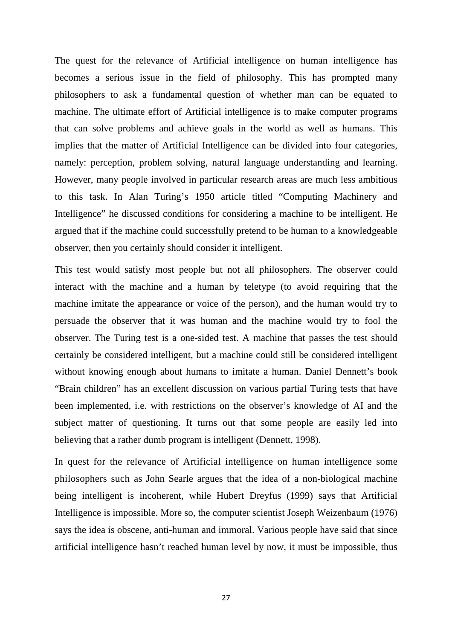The quest for the relevance of Artificial intelligence on human intelligence has becomes a serious issue in the field of philosophy. This has prompted many philosophers to ask a fundamental question of whether man can be equated to machine. The ultimate effort of Artificial intelligence is to make computer programs that can solve problems and achieve goals in the world as well as humans. This implies that the matter of Artificial Intelligence can be divided into four categories, namely: perception, problem solving, natural language understanding and learning. However, many people involved in particular research areas are much less ambitious to this task. In Alan Turing's 1950 article titled "Computing Machinery and Intelligence" he discussed conditions for considering a machine to be intelligent. He argued that if the machine could successfully pretend to be human to a knowledgeable observer, then you certainly should consider it intelligent.

This test would satisfy most people but not all philosophers. The observer could interact with the machine and a human by teletype (to avoid requiring that the machine imitate the appearance or voice of the person), and the human would try to persuade the observer that it was human and the machine would try to fool the observer. The Turing test is a one-sided test. A machine that passes the test should certainly be considered intelligent, but a machine could still be considered intelligent without knowing enough about humans to imitate a human. Daniel Dennett's book "Brain children" has an excellent discussion on various partial Turing tests that have been implemented, i.e. with restrictions on the observer's knowledge of AI and the subject matter of questioning. It turns out that some people are easily led into believing that a rather dumb program is intelligent (Dennett, 1998).

In quest for the relevance of Artificial intelligence on human intelligence some philosophers such as John Searle argues that the idea of a non-biological machine being intelligent is incoherent, while Hubert Dreyfus (1999) says that Artificial Intelligence is impossible. More so, the computer scientist Joseph Weizenbaum (1976) says the idea is obscene, anti-human and immoral. Various people have said that since artificial intelligence hasn't reached human level by now, it must be impossible, thus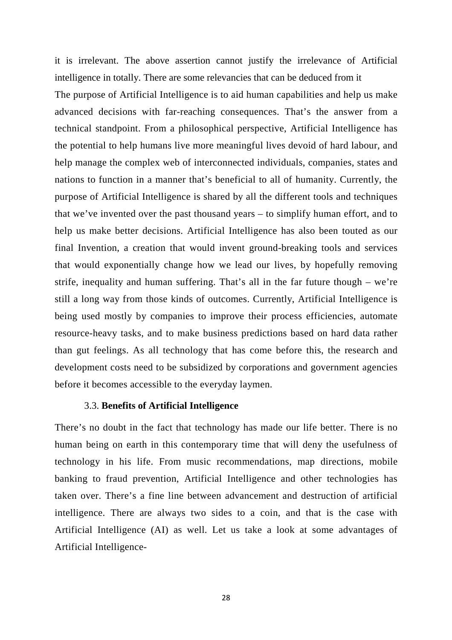it is irrelevant. The above assertion cannot justify the irrelevance of Artificial intelligence in totally. There are some relevancies that can be deduced from it The purpose of Artificial Intelligence is to aid human capabilities and help us make advanced decisions with far-reaching consequences. That's the answer from a technical standpoint. From a philosophical perspective, Artificial Intelligence has the potential to help humans live more meaningful lives devoid of hard labour, and help manage the complex web of interconnected individuals, companies, states and nations to function in a manner that's beneficial to all of humanity. Currently, the purpose of Artificial Intelligence is shared by all the different tools and techniques that we've invented over the past thousand years – to simplify human effort, and to help us make better decisions. Artificial Intelligence has also been touted as our final Invention, a creation that would invent ground-breaking tools and services that would exponentially change how we lead our lives, by hopefully removing strife, inequality and human suffering. That's all in the far future though – we're still a long way from those kinds of outcomes. Currently, Artificial Intelligence is being used mostly by companies to improve their process efficiencies, automate resource-heavy tasks, and to make business predictions based on hard data rather than gut feelings. As all technology that has come before this, the research and development costs need to be subsidized by corporations and government agencies before it becomes accessible to the everyday laymen.

#### 3.3. **Benefits of Artificial Intelligence**

There's no doubt in the fact that technology has made our life better. There is no human being on earth in this contemporary time that will deny the usefulness of technology in his life. From music recommendations, map directions, mobile banking to fraud prevention, Artificial Intelligence and other technologies has taken over. There's a fine line between advancement and destruction of artificial intelligence. There are always two sides to a coin, and that is the case with Artificial Intelligence (AI) as well. Let us take a look at some advantages of Artificial Intelligence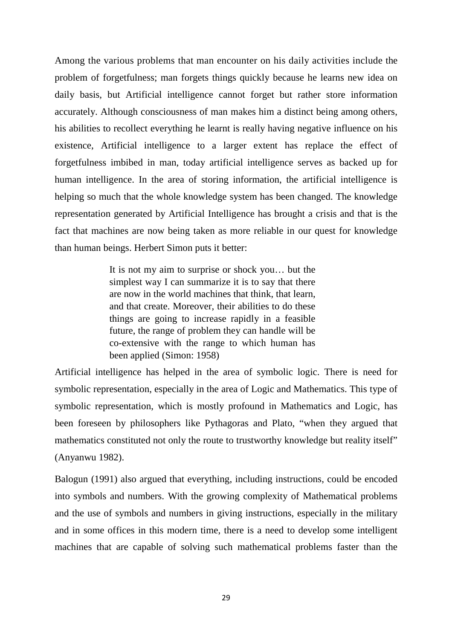Among the various problems that man encounter on his daily activities include the problem of forgetfulness; man forgets things quickly because he learns new idea on daily basis, but Artificial intelligence cannot forget but rather store information accurately. Although consciousness of man makes him a distinct being among others, his abilities to recollect everything he learnt is really having negative influence on his existence, Artificial intelligence to a larger extent has replace the effect of forgetfulness imbibed in man, today artificial intelligence serves as backed up for human intelligence. In the area of storing information, the artificial intelligence is helping so much that the whole knowledge system has been changed. The knowledge representation generated by Artificial Intelligence has brought a crisis and that is the fact that machines are now being taken as more reliable in our quest for knowledge than human beings. Herbert Simon puts it better:

> It is not my aim to surprise or shock you… but the simplest way I can summarize it is to say that there are now in the world machines that think, that learn, and that create. Moreover, their abilities to do these things are going to increase rapidly in a feasible future, the range of problem they can handle will be co-extensive with the range to which human has been applied (Simon: 1958)

Artificial intelligence has helped in the area of symbolic logic. There is need for symbolic representation, especially in the area of Logic and Mathematics. This type of symbolic representation, which is mostly profound in Mathematics and Logic, has been foreseen by philosophers like Pythagoras and Plato, "when they argued that mathematics constituted not only the route to trustworthy knowledge but reality itself" (Anyanwu 1982).

Balogun (1991) also argued that everything, including instructions, could be encoded into symbols and numbers. With the growing complexity of Mathematical problems and the use of symbols and numbers in giving instructions, especially in the military and in some offices in this modern time, there is a need to develop some intelligent machines that are capable of solving such mathematical problems faster than the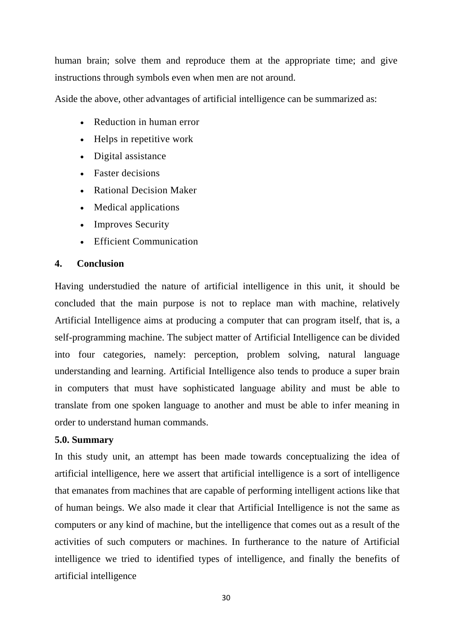human brain; solve them and reproduce them at the appropriate time; and give instructions through symbols even when men are not around.

Aside the above, other advantages of artificial intelligence can be summarized as:

- Reduction in human error
- Helps in repetitive work
- Digital assistance
- Faster decisions
- Rational Decision Maker
- Medical applications
- Improves Security
- Efficient Communication

## **4. Conclusion**

Having understudied the nature of artificial intelligence in this unit, it should be concluded that the main purpose is not to replace man with machine, relatively Artificial Intelligence aims at producing a computer that can program itself, that is, a self-programming machine. The subject matter of Artificial Intelligence can be divided into four categories, namely: perception, problem solving, natural language understanding and learning. Artificial Intelligence also tends to produce a super brain in computers that must have sophisticated language ability and must be able to translate from one spoken language to another and must be able to infer meaning in order to understand human commands.

#### **5.0. Summary**

In this study unit, an attempt has been made towards conceptualizing the idea of artificial intelligence, here we assert that artificial intelligence is a sort of intelligence that emanates from machines that are capable of performing intelligent actions like that of human beings. We also made it clear that Artificial Intelligence is not the same as computers or any kind of machine, but the intelligence that comes out as a result of the activities of such computers or machines. In furtherance to the nature of Artificial intelligence we tried to identified types of intelligence, and finally the benefits of artificial intelligence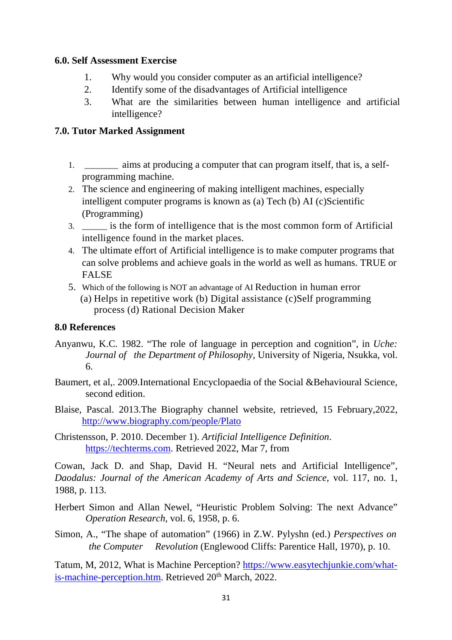## **6.0. Self Assessment Exercise**

- 1. Why would you consider computer as an artificial intelligence?
- 2. Identify some of the disadvantages of Artificial intelligence
- 3. What are the similarities between human intelligence and artificial intelligence?

## **7.0. Tutor Marked Assignment**

- 1. \_\_\_\_\_\_\_\_ aims at producing a computer that can program itself, that is, a selfprogramming machine.
- 2. The science and engineering of making intelligent machines, especially intelligent computer programs is known as (a) Tech (b) AI (c)Scientific (Programming)
- 3. \_\_\_\_\_\_ is the form of intelligence that is the most common form of Artificial intelligence found in the market places.
- 4. The ultimate effort of Artificial intelligence is to make computer programs that can solve problems and achieve goals in the world as well as humans. TRUE or FALSE
- 5. Which of the following is NOT an advantage of AI Reduction in human error (a) Helps in repetitive work (b) Digital assistance (c)Self programming process (d) Rational Decision Maker

## **8.0 References**

- Anyanwu, K.C. 1982. "The role of language in perception and cognition", in *Uche: Journal of the Department of Philosophy,* University of Nigeria, Nsukka, vol. 6.
- Baumert, et al,. 2009.International Encyclopaedia of the Social &Behavioural Science, second edition.
- Blaise, Pascal. 2013.The Biography channel website, retrieved, 15 February,2022, http://www.biography.com/people/Plato

Christensson, P. 2010. December 1). *Artificial Intelligence Definition*. https://techterms.com. Retrieved 2022, Mar 7, from

Cowan, Jack D. and Shap, David H. "Neural nets and Artificial Intelligence", *Daodalus: Journal of the American Academy of Arts and Science,* vol. 117, no. 1, 1988, p. 113.

Herbert Simon and Allan Newel, "Heuristic Problem Solving: The next Advance" *Operation Research,* vol. 6, 1958, p. 6.

Simon, A., "The shape of automation" (1966) in Z.W. Pylyshn (ed.) *Perspectives on the Computer Revolution* (Englewood Cliffs: Parentice Hall, 1970), p. 10.

Tatum, M, 2012, What is Machine Perception? https://www.easytechjunkie.com/whatis-machine-perception.htm. Retrieved 20<sup>th</sup> March, 2022.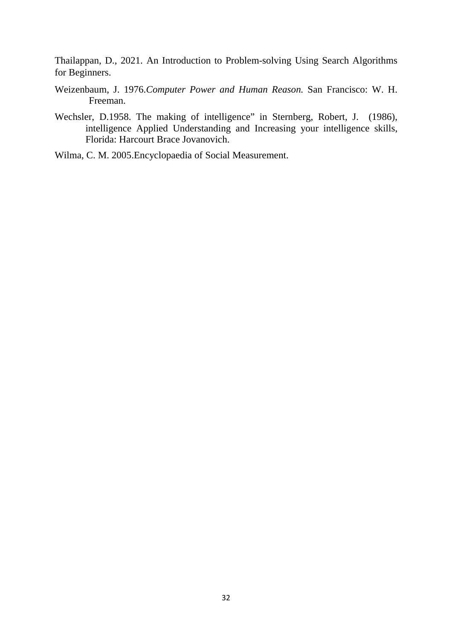Thailappan, D., 2021. An Introduction to Problem-solving Using Search Algorithms for Beginners.

- Weizenbaum, J. 1976.*Computer Power and Human Reason.* San Francisco: W. H. Freeman.
- Wechsler, D.1958. The making of intelligence" in Sternberg, Robert, J. (1986), intelligence Applied Understanding and Increasing your intelligence skills, Florida: Harcourt Brace Jovanovich.
- Wilma, C. M. 2005.Encyclopaedia of Social Measurement.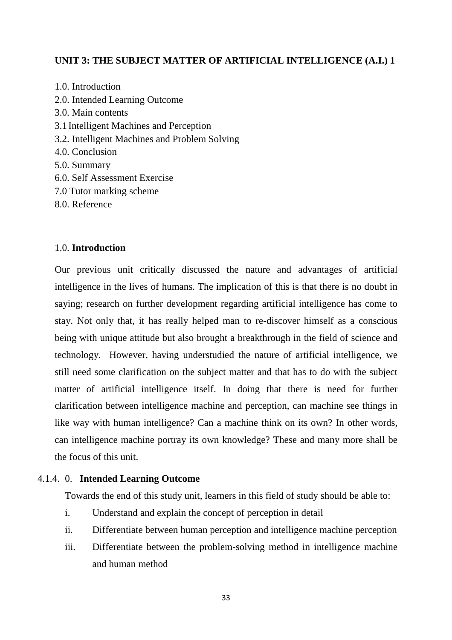## **UNIT 3: THE SUBJECT MATTER OF ARTIFICIAL INTELLIGENCE (A.I.) 1**

- 1.0. Introduction 2.0. Intended Learning Outcome 3.0. Main contents 3.1 Intelligent Machines and Perception 3.2. Intelligent Machines and Problem Solving 4.0. Conclusion 5.0. Summary 6.0. Self Assessment Exercise 7.0 Tutor marking scheme
- 8.0. Reference

#### 1.0. **Introduction**

Our previous unit critically discussed the nature and advantages of artificial intelligence in the lives of humans. The implication of this is that there is no doubt in saying; research on further development regarding artificial intelligence has come to stay. Not only that, it has really helped man to re-discover himself as a conscious being with unique attitude but also brought a breakthrough in the field of science and technology. However, having understudied the nature of artificial intelligence, we still need some clarification on the subject matter and that has to do with the subject matter of artificial intelligence itself. In doing that there is need for further clarification between intelligence machine and perception, can machine see things in like way with human intelligence? Can a machine think on its own? In other words, can intelligence machine portray its own knowledge? These and many more shall be the focus of this unit.

#### 4.1.4. 0. **Intended Learning Outcome**

Towards the end of this study unit, learners in this field of study should be able to:

- i. Understand and explain the concept of perception in detail
- ii. Differentiate between human perception and intelligence machine perception
- iii. Differentiate between the problem-solving method in intelligence machine and human method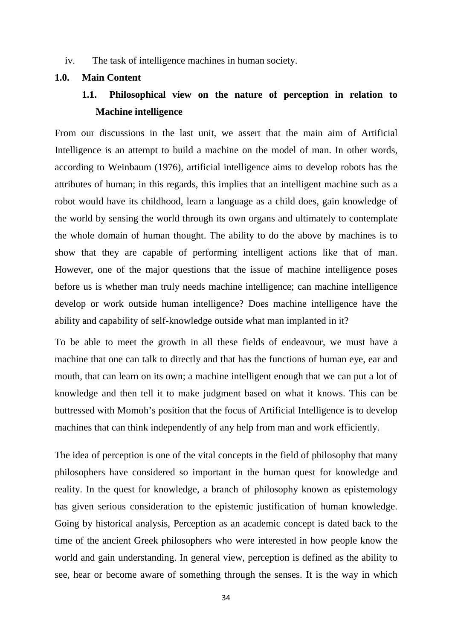iv. The task of intelligence machines in human society.

#### **1.0. Main Content**

## **1.1. Philosophical view on the nature of perception in relation to Machine intelligence**

From our discussions in the last unit, we assert that the main aim of Artificial Intelligence is an attempt to build a machine on the model of man. In other words, according to Weinbaum (1976), artificial intelligence aims to develop robots has the attributes of human; in this regards, this implies that an intelligent machine such as a robot would have its childhood, learn a language as a child does, gain knowledge of the world by sensing the world through its own organs and ultimately to contemplate the whole domain of human thought. The ability to do the above by machines is to show that they are capable of performing intelligent actions like that of man. However, one of the major questions that the issue of machine intelligence poses before us is whether man truly needs machine intelligence; can machine intelligence develop or work outside human intelligence? Does machine intelligence have the ability and capability of self-knowledge outside what man implanted in it?

To be able to meet the growth in all these fields of endeavour, we must have a machine that one can talk to directly and that has the functions of human eye, ear and mouth, that can learn on its own; a machine intelligent enough that we can put a lot of knowledge and then tell it to make judgment based on what it knows. This can be buttressed with Momoh's position that the focus of Artificial Intelligence is to develop machines that can think independently of any help from man and work efficiently.

The idea of perception is one of the vital concepts in the field of philosophy that many philosophers have considered so important in the human quest for knowledge and reality. In the quest for knowledge, a branch of philosophy known as epistemology has given serious consideration to the epistemic justification of human knowledge. Going by historical analysis, Perception as an academic concept is dated back to the time of the ancient Greek philosophers who were interested in how people know the world and gain understanding. In general view, perception is defined as the ability to see, hear or become aware of something through the senses. It is the way in which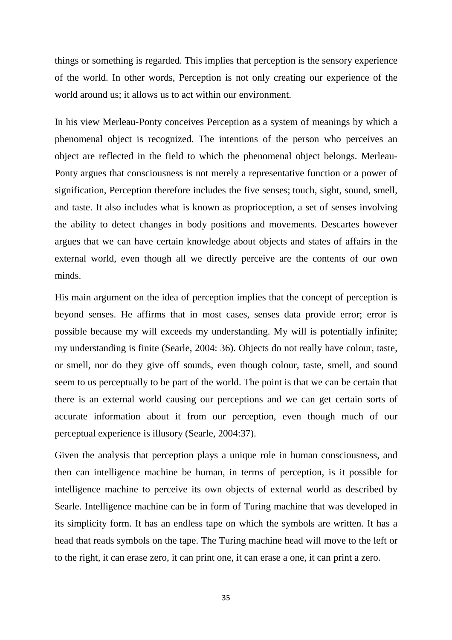things or something is regarded. This implies that perception is the sensory experience of the world. In other words, Perception is not only creating our experience of the world around us; it allows us to act within our environment.

In his view Merleau-Ponty conceives Perception as a system of meanings by which a phenomenal object is recognized. The intentions of the person who perceives an object are reflected in the field to which the phenomenal object belongs. Merleau-Ponty argues that consciousness is not merely a representative function or a power of signification, Perception therefore includes the five senses; touch, sight, sound, smell, and taste. It also includes what is known as proprioception, a set of senses involving the ability to detect changes in body positions and movements. Descartes however argues that we can have certain knowledge about objects and states of affairs in the external world, even though all we directly perceive are the contents of our own minds.

His main argument on the idea of perception implies that the concept of perception is beyond senses. He affirms that in most cases, senses data provide error; error is possible because my will exceeds my understanding. My will is potentially infinite; my understanding is finite (Searle, 2004: 36). Objects do not really have colour, taste, or smell, nor do they give off sounds, even though colour, taste, smell, and sound seem to us perceptually to be part of the world. The point is that we can be certain that there is an external world causing our perceptions and we can get certain sorts of accurate information about it from our perception, even though much of our perceptual experience is illusory (Searle, 2004:37).

Given the analysis that perception plays a unique role in human consciousness, and then can intelligence machine be human, in terms of perception, is it possible for intelligence machine to perceive its own objects of external world as described by Searle. Intelligence machine can be in form of Turing machine that was developed in its simplicity form. It has an endless tape on which the symbols are written. It has a head that reads symbols on the tape. The Turing machine head will move to the left or to the right, it can erase zero, it can print one, it can erase a one, it can print a zero.

35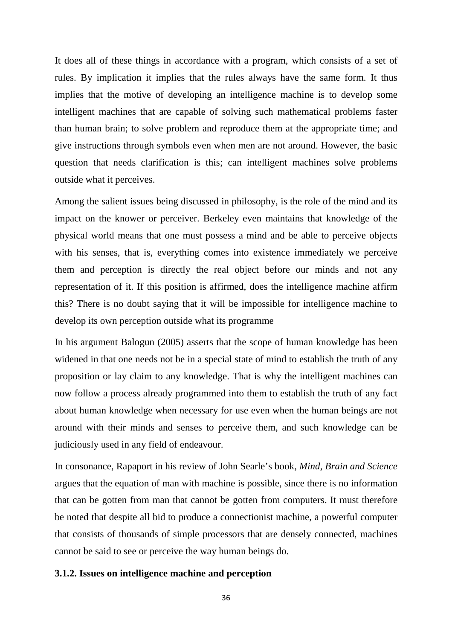It does all of these things in accordance with a program, which consists of a set of rules. By implication it implies that the rules always have the same form. It thus implies that the motive of developing an intelligence machine is to develop some intelligent machines that are capable of solving such mathematical problems faster than human brain; to solve problem and reproduce them at the appropriate time; and give instructions through symbols even when men are not around. However, the basic question that needs clarification is this; can intelligent machines solve problems outside what it perceives.

Among the salient issues being discussed in philosophy, is the role of the mind and its impact on the knower or perceiver. Berkeley even maintains that knowledge of the physical world means that one must possess a mind and be able to perceive objects with his senses, that is, everything comes into existence immediately we perceive them and perception is directly the real object before our minds and not any representation of it. If this position is affirmed, does the intelligence machine affirm this? There is no doubt saying that it will be impossible for intelligence machine to develop its own perception outside what its programme

In his argument Balogun (2005) asserts that the scope of human knowledge has been widened in that one needs not be in a special state of mind to establish the truth of any proposition or lay claim to any knowledge. That is why the intelligent machines can now follow a process already programmed into them to establish the truth of any fact about human knowledge when necessary for use even when the human beings are not around with their minds and senses to perceive them, and such knowledge can be judiciously used in any field of endeavour.

In consonance, Rapaport in his review of John Searle's book, *Mind, Brain and Science* argues that the equation of man with machine is possible, since there is no information that can be gotten from man that cannot be gotten from computers. It must therefore be noted that despite all bid to produce a connectionist machine, a powerful computer that consists of thousands of simple processors that are densely connected, machines cannot be said to see or perceive the way human beings do.

#### **3.1.2. Issues on intelligence machine and perception**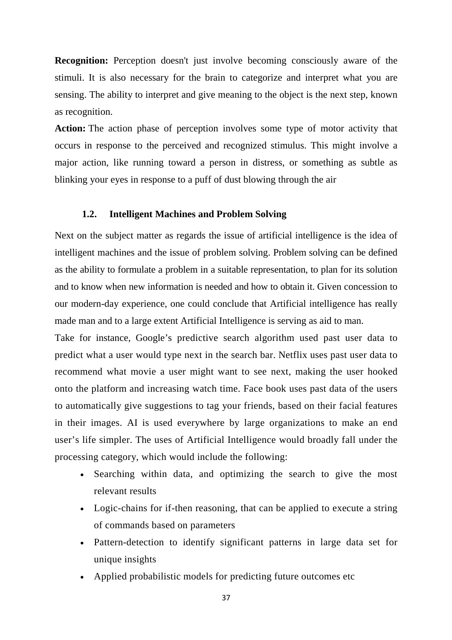**Recognition:** Perception doesn't just involve becoming consciously aware of the stimuli. It is also necessary for the brain to categorize and interpret what you are sensing. The ability to interpret and give meaning to the object is the next step, known as recognition.

**Action:** The action phase of perception involves some type of motor activity that occurs in response to the perceived and recognized stimulus. This might involve a major action, like running toward a person in distress, or something as subtle as blinking your eyes in response to a puff of dust blowing through the air

## **1.2. Intelligent Machines and Problem Solving**

Next on the subject matter as regards the issue of artificial intelligence is the idea of intelligent machines and the issue of problem solving. Problem solving can be defined as the ability to formulate a problem in a suitable representation, to plan for its solution and to know when new information is needed and how to obtain it. Given concession to our modern-day experience, one could conclude that Artificial intelligence has really made man and to a large extent Artificial Intelligence is serving as aid to man.

Take for instance, Google's predictive search algorithm used past user data to predict what a user would type next in the search bar. Netflix uses past user data to recommend what movie a user might want to see next, making the user hooked onto the platform and increasing watch time. Face book uses past data of the users to automatically give suggestions to tag your friends, based on their facial features in their images. AI is used everywhere by large organizations to make an end user's life simpler. The uses of Artificial Intelligence would broadly fall under the processing category, which would include the following:

- Searching within data, and optimizing the search to give the most relevant results
- Logic-chains for if-then reasoning, that can be applied to execute a string of commands based on parameters
- Pattern-detection to identify significant patterns in large data set for unique insights
- Applied probabilistic models for predicting future outcomes etc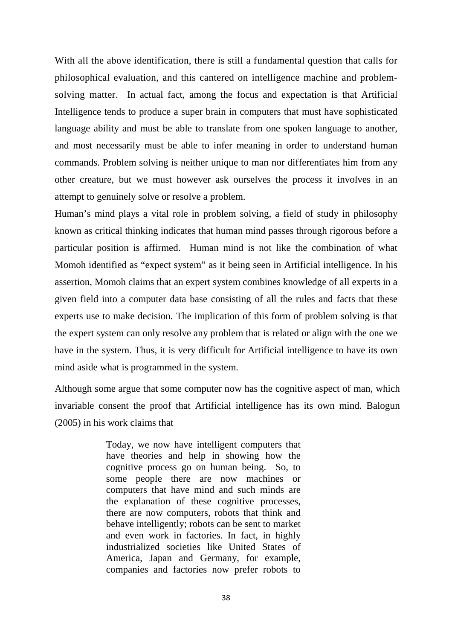With all the above identification, there is still a fundamental question that calls for philosophical evaluation, and this cantered on intelligence machine and problemsolving matter. In actual fact, among the focus and expectation is that Artificial Intelligence tends to produce a super brain in computers that must have sophisticated language ability and must be able to translate from one spoken language to another, and most necessarily must be able to infer meaning in order to understand human commands. Problem solving is neither unique to man nor differentiates him from any other creature, but we must however ask ourselves the process it involves in an attempt to genuinely solve or resolve a problem.

Human's mind plays a vital role in problem solving, a field of study in philosophy known as critical thinking indicates that human mind passes through rigorous before a particular position is affirmed. Human mind is not like the combination of what Momoh identified as "expect system" as it being seen in Artificial intelligence. In his assertion, Momoh claims that an expert system combines knowledge of all experts in a given field into a computer data base consisting of all the rules and facts that these experts use to make decision. The implication of this form of problem solving is that the expert system can only resolve any problem that is related or align with the one we have in the system. Thus, it is very difficult for Artificial intelligence to have its own mind aside what is programmed in the system.

Although some argue that some computer now has the cognitive aspect of man, which invariable consent the proof that Artificial intelligence has its own mind. Balogun (2005) in his work claims that

> Today, we now have intelligent computers that have theories and help in showing how the cognitive process go on human being. So, to some people there are now machines or computers that have mind and such minds are the explanation of these cognitive processes, there are now computers, robots that think and behave intelligently; robots can be sent to market and even work in factories. In fact, in highly industrialized societies like United States of America, Japan and Germany, for example, companies and factories now prefer robots to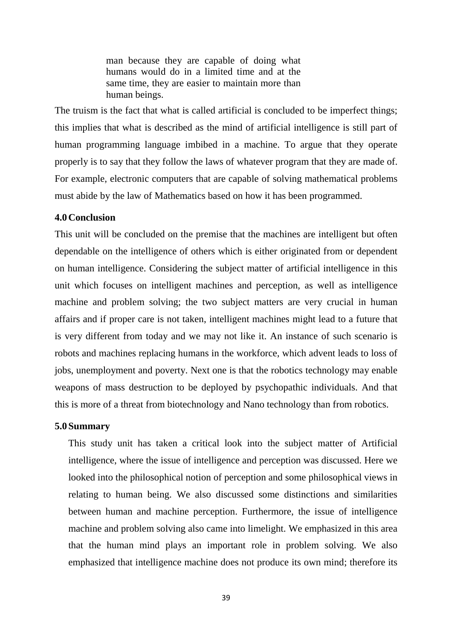man because they are capable of doing what humans would do in a limited time and at the same time, they are easier to maintain more than human beings.

The truism is the fact that what is called artificial is concluded to be imperfect things; this implies that what is described as the mind of artificial intelligence is still part of human programming language imbibed in a machine. To argue that they operate properly is to say that they follow the laws of whatever program that they are made of. For example, electronic computers that are capable of solving mathematical problems must abide by the law of Mathematics based on how it has been programmed.

#### **4.0Conclusion**

This unit will be concluded on the premise that the machines are intelligent but often dependable on the intelligence of others which is either originated from or dependent on human intelligence. Considering the subject matter of artificial intelligence in this unit which focuses on intelligent machines and perception, as well as intelligence machine and problem solving; the two subject matters are very crucial in human affairs and if proper care is not taken, intelligent machines might lead to a future that is very different from today and we may not like it. An instance of such scenario is robots and machines replacing humans in the workforce, which advent leads to loss of jobs, unemployment and poverty. Next one is that the robotics technology may enable weapons of mass destruction to be deployed by psychopathic individuals. And that this is more of a threat from biotechnology and Nano technology than from robotics.

#### **5.0 Summary**

This study unit has taken a critical look into the subject matter of Artificial intelligence, where the issue of intelligence and perception was discussed. Here we looked into the philosophical notion of perception and some philosophical views in relating to human being. We also discussed some distinctions and similarities between human and machine perception. Furthermore, the issue of intelligence machine and problem solving also came into limelight. We emphasized in this area that the human mind plays an important role in problem solving. We also emphasized that intelligence machine does not produce its own mind; therefore its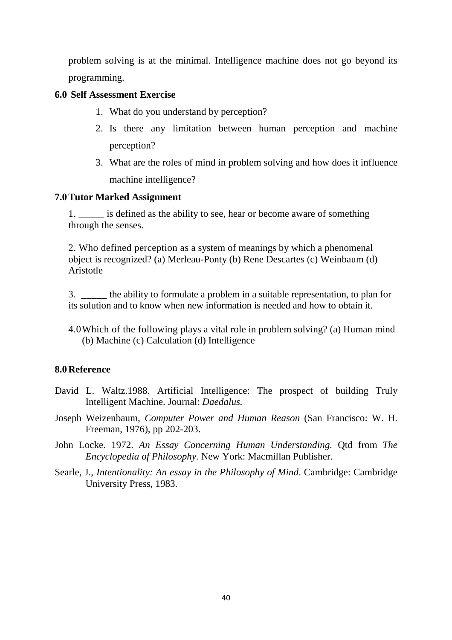problem solving is at the minimal. Intelligence machine does not go beyond its programming.

### **6.0 Self Assessment Exercise**

- 1. What do you understand by perception?
- 2. Is there any limitation between human perception and machine perception?
- 3. What are the roles of mind in problem solving and how does it influence machine intelligence?

## **7.0Tutor Marked Assignment**

1. \_\_\_\_\_ is defined as the ability to see, hear or become aware of something through the senses.

2. Who defined perception as a system of meanings by which a phenomenal object is recognized? (a) Merleau-Ponty (b) Rene Descartes (c) Weinbaum (d) Aristotle

3. \_\_\_\_\_ the ability to formulate a problem in a suitable representation, to plan for its solution and to know when new information is needed and how to obtain it.

4.0Which of the following plays a vital role in problem solving? (a) Human mind (b) Machine (c) Calculation (d) Intelligence

## **8.0Reference**

- David L. Waltz.1988. Artificial Intelligence: The prospect of building Truly Intelligent Machine. Journal: *Daedalus.*
- Joseph Weizenbaum, *Computer Power and Human Reason* (San Francisco: W. H. Freeman, 1976), pp 202-203.
- John Locke. 1972. *An Essay Concerning Human Understanding.* Qtd from *The Encyclopedia of Philosophy.* New York: Macmillan Publisher.
- Searle, J., *Intentionality: An essay in the Philosophy of Mind*. Cambridge: Cambridge University Press, 1983.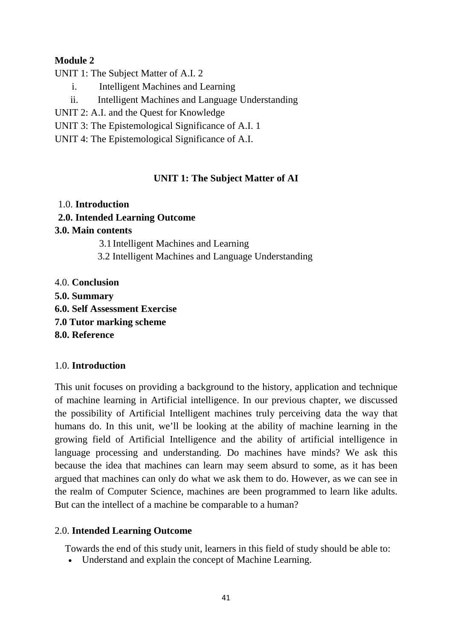# **Module 2**

UNIT 1: The Subject Matter of A.I. 2

- i. Intelligent Machines and Learning
- ii. Intelligent Machines and Language Understanding
- UNIT 2: A.I. and the Quest for Knowledge
- UNIT 3: The Epistemological Significance of A.I. 1
- UNIT 4: The Epistemological Significance of A.I.

# **UNIT 1: The Subject Matter of AI**

# 1.0. **Introduction**

# **2.0. Intended Learning Outcome**

# **3.0. Main contents**

3.1 Intelligent Machines and Learning

- 3.2 Intelligent Machines and Language Understanding
- 4.0. **Conclusion**
- **5.0. Summary**
- **6.0. Self Assessment Exercise**
- **7.0 Tutor marking scheme**
- **8.0. Reference**

# 1.0. **Introduction**

This unit focuses on providing a background to the history, application and technique of machine learning in Artificial intelligence. In our previous chapter, we discussed the possibility of Artificial Intelligent machines truly perceiving data the way that humans do. In this unit, we'll be looking at the ability of machine learning in the growing field of Artificial Intelligence and the ability of artificial intelligence in language processing and understanding. Do machines have minds? We ask this because the idea that machines can learn may seem absurd to some, as it has been argued that machines can only do what we ask them to do. However, as we can see in the realm of Computer Science, machines are been programmed to learn like adults. But can the intellect of a machine be comparable to a human?

# 2.0. **Intended Learning Outcome**

Towards the end of this study unit, learners in this field of study should be able to:

• Understand and explain the concept of Machine Learning.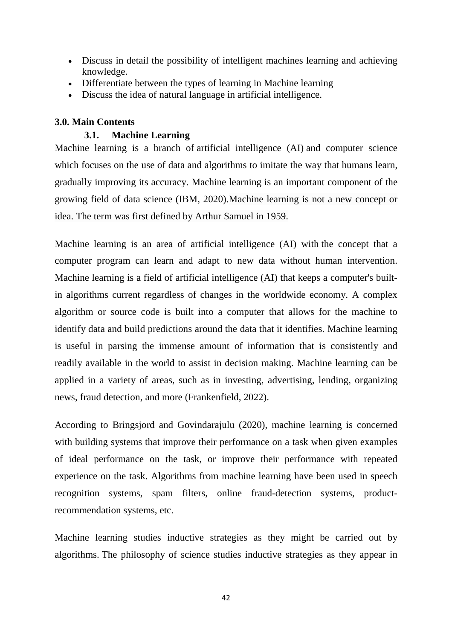- Discuss in detail the possibility of intelligent machines learning and achieving knowledge.
- Differentiate between the types of learning in Machine learning
- Discuss the idea of natural language in artificial intelligence.

# **3.0. Main Contents**

## **3.1. Machine Learning**

Machine learning is a branch of artificial intelligence (AI) and computer science which focuses on the use of data and algorithms to imitate the way that humans learn, gradually improving its accuracy. Machine learning is an important component of the growing field of data science (IBM, 2020).Machine learning is not a new concept or idea. The term was first defined by Arthur Samuel in 1959.

Machine learning is an area of artificial intelligence (AI) with the concept that a computer program can learn and adapt to new data without human intervention. Machine learning is a field of artificial intelligence (AI) that keeps a computer's builtin algorithms current regardless of changes in the worldwide economy. A complex algorithm or source code is built into a computer that allows for the machine to identify data and build predictions around the data that it identifies. Machine learning is useful in parsing the immense amount of information that is consistently and readily available in the world to assist in decision making. Machine learning can be applied in a variety of areas, such as in investing, advertising, lending, organizing news, fraud detection, and more (Frankenfield, 2022).

According to Bringsjord and Govindarajulu (2020), machine learning is concerned with building systems that improve their performance on a task when given examples of ideal performance on the task, or improve their performance with repeated experience on the task. Algorithms from machine learning have been used in speech recognition systems, spam filters, online fraud-detection systems, productrecommendation systems, etc.

Machine learning studies inductive strategies as they might be carried out by algorithms. The philosophy of science studies inductive strategies as they appear in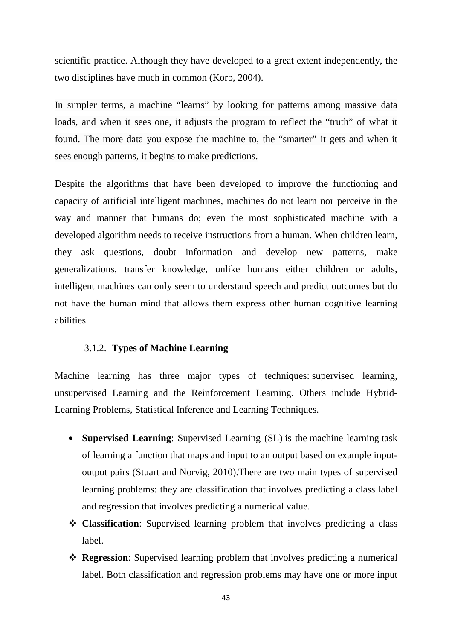scientific practice. Although they have developed to a great extent independently, the two disciplines have much in common (Korb, 2004).

In simpler terms, a machine "learns" by looking for patterns among massive data loads, and when it sees one, it adjusts the program to reflect the "truth" of what it found. The more data you expose the machine to, the "smarter" it gets and when it sees enough patterns, it begins to make predictions.

Despite the algorithms that have been developed to improve the functioning and capacity of artificial intelligent machines, machines do not learn nor perceive in the way and manner that humans do; even the most sophisticated machine with a developed algorithm needs to receive instructions from a human. When children learn, they ask questions, doubt information and develop new patterns, make generalizations, transfer knowledge, unlike humans either children or adults, intelligent machines can only seem to understand speech and predict outcomes but do not have the human mind that allows them express other human cognitive learning abilities.

#### 3.1.2. **Types of Machine Learning**

Machine learning has three major types of techniques: supervised learning, unsupervised Learning and the Reinforcement Learning. Others include Hybrid-Learning Problems, Statistical Inference and Learning Techniques.

- **Supervised Learning**: Supervised Learning (SL) is the machine learning task of learning a function that maps and input to an output based on example inputoutput pairs (Stuart and Norvig, 2010).There are two main types of supervised learning problems: they are classification that involves predicting a class label and regression that involves predicting a numerical value.
- **Classification**: Supervised learning problem that involves predicting a class label.
- **Regression**: Supervised learning problem that involves predicting a numerical label. Both classification and regression problems may have one or more input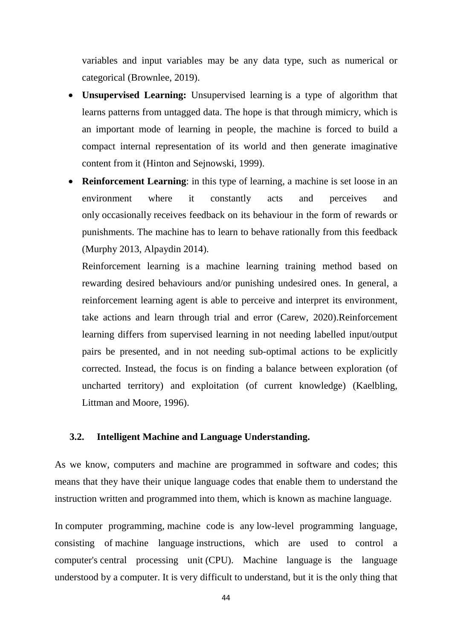variables and input variables may be any data type, such as numerical or categorical (Brownlee, 2019).

- **Unsupervised Learning:** Unsupervised learning is a type of algorithm that learns patterns from untagged data. The hope is that through mimicry, which is an important mode of learning in people, the machine is forced to build a compact internal representation of its world and then generate imaginative content from it (Hinton and Sejnowski, 1999).
- **Reinforcement Learning**: in this type of learning, a machine is set loose in an environment where it constantly acts and perceives and only occasionally receives feedback on its behaviour in the form of rewards or punishments. The machine has to learn to behave rationally from this feedback (Murphy 2013, Alpaydin 2014).

Reinforcement learning is a machine learning training method based on rewarding desired behaviours and/or punishing undesired ones. In general, a reinforcement learning agent is able to perceive and interpret its environment, take actions and learn through trial and error (Carew, 2020).Reinforcement learning differs from supervised learning in not needing labelled input/output pairs be presented, and in not needing sub-optimal actions to be explicitly corrected. Instead, the focus is on finding a balance between exploration (of uncharted territory) and exploitation (of current knowledge) (Kaelbling, Littman and Moore, 1996).

## **3.2. Intelligent Machine and Language Understanding.**

As we know, computers and machine are programmed in software and codes; this means that they have their unique language codes that enable them to understand the instruction written and programmed into them, which is known as machine language.

In computer programming, machine code is any low-level programming language, consisting of machine language instructions, which are used to control a computer's central processing unit (CPU). Machine language is the language understood by a computer. It is very difficult to understand, but it is the only thing that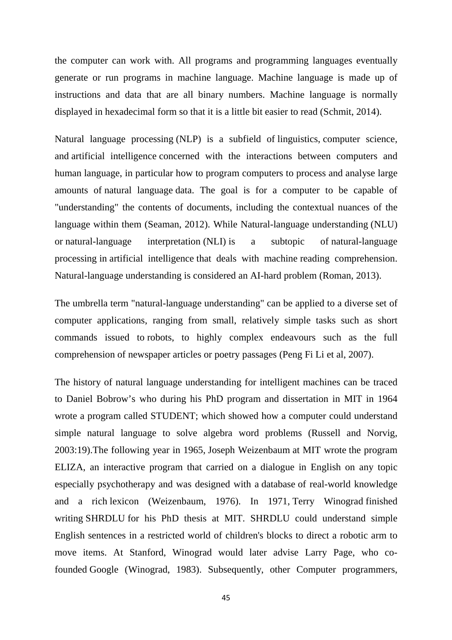the computer can work with. All programs and programming languages eventually generate or run programs in machine language. Machine language is made up of instructions and data that are all binary numbers. Machine language is normally displayed in hexadecimal form so that it is a little bit easier to read (Schmit, 2014).

Natural language processing (NLP) is a subfield of linguistics, computer science, and artificial intelligence concerned with the interactions between computers and human language, in particular how to program computers to process and analyse large amounts of natural language data. The goal is for a computer to be capable of "understanding" the contents of documents, including the contextual nuances of the language within them (Seaman, 2012). While Natural-language understanding (NLU) or natural-language interpretation (NLI) is a subtopic of natural-language processing in artificial intelligence that deals with machine reading comprehension. Natural-language understanding is considered an AI-hard problem (Roman, 2013).

The umbrella term "natural-language understanding" can be applied to a diverse set of computer applications, ranging from small, relatively simple tasks such as short commands issued to robots, to highly complex endeavours such as the full comprehension of newspaper articles or poetry passages (Peng Fi Li et al, 2007).

The history of natural language understanding for intelligent machines can be traced to Daniel Bobrow's who during his PhD program and dissertation in MIT in 1964 wrote a program called STUDENT; which showed how a computer could understand simple natural language to solve algebra word problems (Russell and Norvig, 2003:19).The following year in 1965, Joseph Weizenbaum at MIT wrote the program ELIZA, an interactive program that carried on a dialogue in English on any topic especially psychotherapy and was designed with a database of real-world knowledge and a rich lexicon (Weizenbaum, 1976). In 1971, Terry Winograd finished writing SHRDLU for his PhD thesis at MIT. SHRDLU could understand simple English sentences in a restricted world of children's blocks to direct a robotic arm to move items. At Stanford, Winograd would later advise Larry Page, who cofounded Google (Winograd, 1983). Subsequently, other Computer programmers,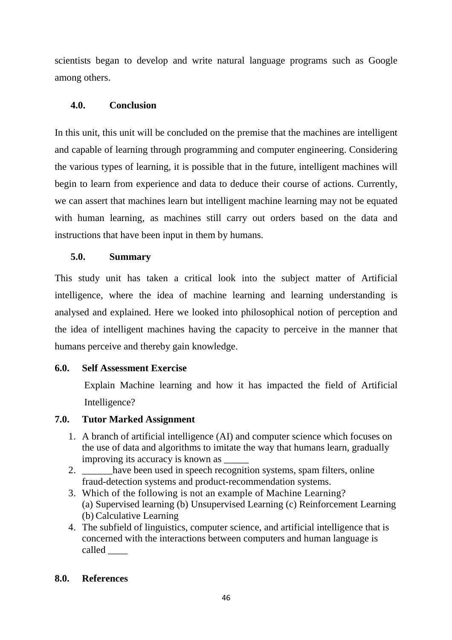scientists began to develop and write natural language programs such as Google among others.

# **4.0. Conclusion**

In this unit, this unit will be concluded on the premise that the machines are intelligent and capable of learning through programming and computer engineering. Considering the various types of learning, it is possible that in the future, intelligent machines will begin to learn from experience and data to deduce their course of actions. Currently, we can assert that machines learn but intelligent machine learning may not be equated with human learning, as machines still carry out orders based on the data and instructions that have been input in them by humans.

# **5.0. Summary**

This study unit has taken a critical look into the subject matter of Artificial intelligence, where the idea of machine learning and learning understanding is analysed and explained. Here we looked into philosophical notion of perception and the idea of intelligent machines having the capacity to perceive in the manner that humans perceive and thereby gain knowledge.

## **6.0. Self Assessment Exercise**

Explain Machine learning and how it has impacted the field of Artificial Intelligence?

## **7.0. Tutor Marked Assignment**

- 1. A branch of artificial intelligence (AI) and computer science which focuses on the use of data and algorithms to imitate the way that humans learn, gradually improving its accuracy is known as \_\_\_\_\_
- 2. have been used in speech recognition systems, spam filters, online fraud-detection systems and product-recommendation systems.
- 3. Which of the following is not an example of Machine Learning? (a) Supervised learning (b) Unsupervised Learning (c) Reinforcement Learning (b) Calculative Learning
- 4. The subfield of linguistics, computer science, and artificial intelligence that is concerned with the interactions between computers and human language is called \_\_\_\_\_

## **8.0. References**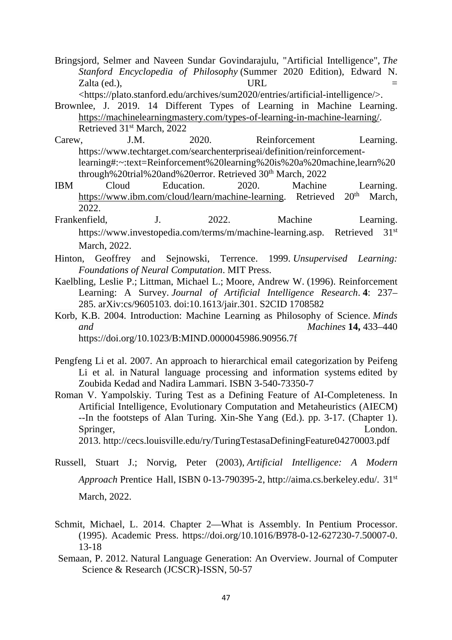Bringsjord, Selmer and Naveen Sundar Govindarajulu, "Artificial Intelligence", *The Stanford Encyclopedia of Philosophy* (Summer 2020 Edition), Edward N.  $Z$ alta (ed.),  $\qquad \qquad \qquad \text{URL} =$ <https://plato.stanford.edu/archives/sum2020/entries/artificial-intelligence/>.

- Brownlee, J. 2019. 14 Different Types of Learning in Machine Learning. https://machinelearningmastery.com/types-of-learning-in-machine-learning/. Retrieved 31st March, 2022
- Carew, J.M. 2020. Reinforcement Learning. https://www.techtarget.com/searchenterpriseai/definition/reinforcementlearning#:~:text=Reinforcement%20learning%20is%20a%20machine,learn%20 through%20trial%20and%20error. Retrieved 30<sup>th</sup> March, 2022
- IBM Cloud Education. 2020. Machine Learning. https://www.ibm.com/cloud/learn/machine-learning. Retrieved 20<sup>th</sup> March, 2022.
- Frankenfield, J. 2022. Machine Learning. https://www.investopedia.com/terms/m/machine-learning.asp. Retrieved 31<sup>st</sup> March, 2022.
- Hinton, Geoffrey and Sejnowski, Terrence. 1999. *Unsupervised Learning: Foundations of Neural Computation*. MIT Press.
- Kaelbling, Leslie P.; Littman, Michael L.; Moore, Andrew W. (1996). Reinforcement Learning: A Survey. *Journal of Artificial Intelligence Research*. **4**: 237– 285. arXiv:cs/9605103. doi:10.1613/jair.301. S2CID 1708582
- Korb, K.B. 2004. Introduction: Machine Learning as Philosophy of Science. *Minds and Machines* **14,** 433–440 https://doi.org/10.1023/B:MIND.0000045986.90956.7f
- Pengfeng Li et al. 2007. An approach to hierarchical email categorization by Peifeng Li et al. in Natural language processing and information systems edited by Zoubida Kedad and Nadira Lammari. ISBN 3-540-73350-7
- Roman V. Yampolskiy. Turing Test as a Defining Feature of AI-Completeness. In Artificial Intelligence, Evolutionary Computation and Metaheuristics (AIECM) --In the footsteps of Alan Turing. Xin-She Yang (Ed.). pp. 3-17. (Chapter 1). Springer, London. 2013. http://cecs.louisville.edu/ry/TuringTestasaDefiningFeature04270003.pdf
- Russell, Stuart J.; Norvig, Peter (2003), *Artificial Intelligence: A Modern Approach* Prentice Hall, ISBN 0-13-790395-2, http://aima.cs.berkeley.edu/. 31st March, 2022.
- Schmit, Michael, L. 2014. Chapter 2—What is Assembly. In Pentium Processor. (1995). Academic Press. https://doi.org/10.1016/B978-0-12-627230-7.50007-0. 13-18
- Semaan, P. 2012. Natural Language Generation: An Overview. Journal of Computer Science & Research (JCSCR)-ISSN, 50-57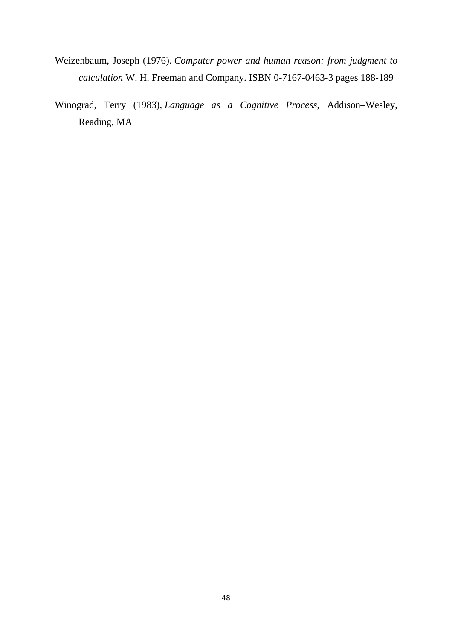- Weizenbaum, Joseph (1976). *Computer power and human reason: from judgment to calculation* W. H. Freeman and Company. ISBN 0-7167-0463-3 pages 188-189
- Winograd, Terry (1983), *Language as a Cognitive Process*, Addison–Wesley, Reading, MA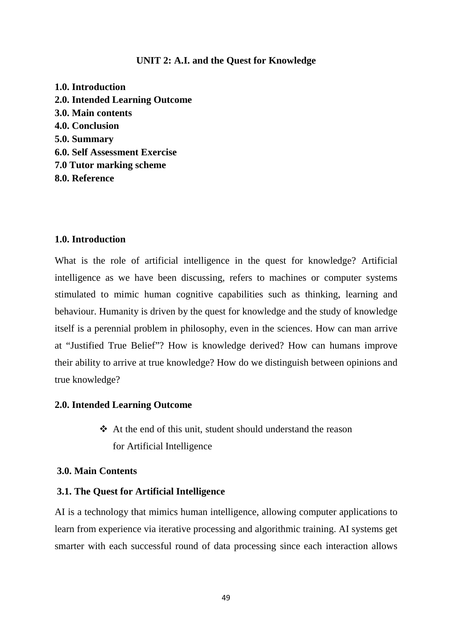### **UNIT 2: A.I. and the Quest for Knowledge**

**1.0. Introduction 2.0. Intended Learning Outcome 3.0. Main contents 4.0. Conclusion 5.0. Summary 6.0. Self Assessment Exercise 7.0 Tutor marking scheme 8.0. Reference** 

#### **1.0. Introduction**

What is the role of artificial intelligence in the quest for knowledge? Artificial intelligence as we have been discussing, refers to machines or computer systems stimulated to mimic human cognitive capabilities such as thinking, learning and behaviour. Humanity is driven by the quest for knowledge and the study of knowledge itself is a perennial problem in philosophy, even in the sciences. How can man arrive at "Justified True Belief"? How is knowledge derived? How can humans improve their ability to arrive at true knowledge? How do we distinguish between opinions and true knowledge?

#### **2.0. Intended Learning Outcome**

 $\triangle$  At the end of this unit, student should understand the reason for Artificial Intelligence

## **3.0. Main Contents**

#### **3.1. The Quest for Artificial Intelligence**

AI is a technology that mimics human intelligence, allowing computer applications to learn from experience via iterative processing and algorithmic training. AI systems get smarter with each successful round of data processing since each interaction allows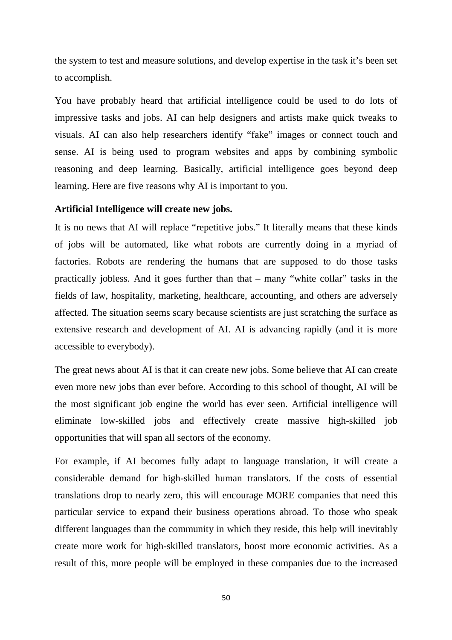the system to test and measure solutions, and develop expertise in the task it's been set to accomplish.

You have probably heard that artificial intelligence could be used to do lots of impressive tasks and jobs. AI can help designers and artists make quick tweaks to visuals. AI can also help researchers identify "fake" images or connect touch and sense. AI is being used to program websites and apps by combining symbolic reasoning and deep learning. Basically, artificial intelligence goes beyond deep learning. Here are five reasons why AI is important to you.

### **Artificial Intelligence will create new jobs.**

It is no news that AI will replace "repetitive jobs." It literally means that these kinds of jobs will be automated, like what robots are currently doing in a myriad of factories. Robots are rendering the humans that are supposed to do those tasks practically jobless. And it goes further than that – many "white collar" tasks in the fields of law, hospitality, marketing, healthcare, accounting, and others are adversely affected. The situation seems scary because scientists are just scratching the surface as extensive research and development of AI. AI is advancing rapidly (and it is more accessible to everybody).

The great news about AI is that it can create new jobs. Some believe that AI can create even more new jobs than ever before. According to this school of thought, AI will be the most significant job engine the world has ever seen. Artificial intelligence will eliminate low-skilled jobs and effectively create massive high-skilled job opportunities that will span all sectors of the economy.

For example, if AI becomes fully adapt to language translation, it will create a considerable demand for high-skilled human translators. If the costs of essential translations drop to nearly zero, this will encourage MORE companies that need this particular service to expand their business operations abroad. To those who speak different languages than the community in which they reside, this help will inevitably create more work for high-skilled translators, boost more economic activities. As a result of this, more people will be employed in these companies due to the increased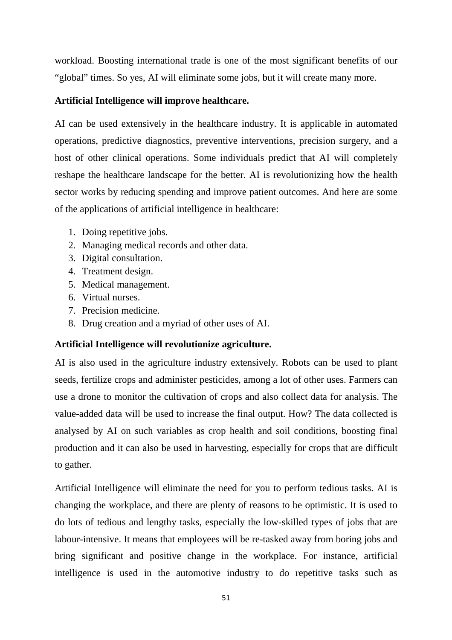workload. Boosting international trade is one of the most significant benefits of our "global" times. So yes, AI will eliminate some jobs, but it will create many more.

## **Artificial Intelligence will improve healthcare.**

AI can be used extensively in the healthcare industry. It is applicable in automated operations, predictive diagnostics, preventive interventions, precision surgery, and a host of other clinical operations. Some individuals predict that AI will completely reshape the healthcare landscape for the better. AI is revolutionizing how the health sector works by reducing spending and improve patient outcomes. And here are some of the applications of artificial intelligence in healthcare:

- 1. Doing repetitive jobs.
- 2. Managing medical records and other data.
- 3. Digital consultation.
- 4. Treatment design.
- 5. Medical management.
- 6. Virtual nurses.
- 7. Precision medicine.
- 8. Drug creation and a myriad of other uses of AI.

## **Artificial Intelligence will revolutionize agriculture.**

AI is also used in the agriculture industry extensively. Robots can be used to plant seeds, fertilize crops and administer pesticides, among a lot of other uses. Farmers can use a drone to monitor the cultivation of crops and also collect data for analysis. The value-added data will be used to increase the final output. How? The data collected is analysed by AI on such variables as crop health and soil conditions, boosting final production and it can also be used in harvesting, especially for crops that are difficult to gather.

Artificial Intelligence will eliminate the need for you to perform tedious tasks. AI is changing the workplace, and there are plenty of reasons to be optimistic. It is used to do lots of tedious and lengthy tasks, especially the low-skilled types of jobs that are labour-intensive. It means that employees will be re-tasked away from boring jobs and bring significant and positive change in the workplace. For instance, artificial intelligence is used in the automotive industry to do repetitive tasks such as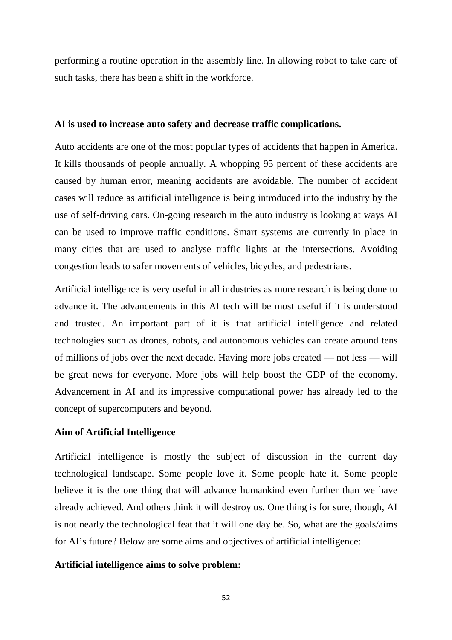performing a routine operation in the assembly line. In allowing robot to take care of such tasks, there has been a shift in the workforce.

#### **AI is used to increase auto safety and decrease traffic complications.**

Auto accidents are one of the most popular types of accidents that happen in America. It kills thousands of people annually. A whopping 95 percent of these accidents are caused by human error, meaning accidents are avoidable. The number of accident cases will reduce as artificial intelligence is being introduced into the industry by the use of self-driving cars. On-going research in the auto industry is looking at ways AI can be used to improve traffic conditions. Smart systems are currently in place in many cities that are used to analyse traffic lights at the intersections. Avoiding congestion leads to safer movements of vehicles, bicycles, and pedestrians.

Artificial intelligence is very useful in all industries as more research is being done to advance it. The advancements in this AI tech will be most useful if it is understood and trusted. An important part of it is that artificial intelligence and related technologies such as drones, robots, and autonomous vehicles can create around tens of millions of jobs over the next decade. Having more jobs created — not less — will be great news for everyone. More jobs will help boost the GDP of the economy. Advancement in AI and its impressive computational power has already led to the concept of supercomputers and beyond.

### **Aim of Artificial Intelligence**

Artificial intelligence is mostly the subject of discussion in the current day technological landscape. Some people love it. Some people hate it. Some people believe it is the one thing that will advance humankind even further than we have already achieved. And others think it will destroy us. One thing is for sure, though, AI is not nearly the technological feat that it will one day be. So, what are the goals/aims for AI's future? Below are some aims and objectives of artificial intelligence:

#### **Artificial intelligence aims to solve problem:**

52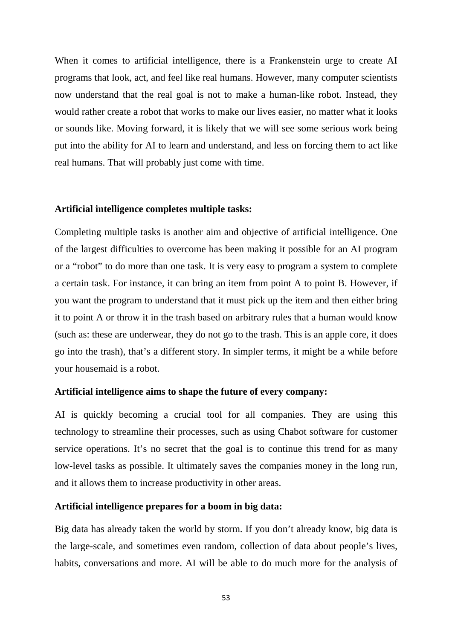When it comes to artificial intelligence, there is a Frankenstein urge to create AI programs that look, act, and feel like real humans. However, many computer scientists now understand that the real goal is not to make a human-like robot. Instead, they would rather create a robot that works to make our lives easier, no matter what it looks or sounds like. Moving forward, it is likely that we will see some serious work being put into the ability for AI to learn and understand, and less on forcing them to act like real humans. That will probably just come with time.

#### **Artificial intelligence completes multiple tasks:**

Completing multiple tasks is another aim and objective of artificial intelligence. One of the largest difficulties to overcome has been making it possible for an AI program or a "robot" to do more than one task. It is very easy to program a system to complete a certain task. For instance, it can bring an item from point A to point B. However, if you want the program to understand that it must pick up the item and then either bring it to point A or throw it in the trash based on arbitrary rules that a human would know (such as: these are underwear, they do not go to the trash. This is an apple core, it does go into the trash), that's a different story. In simpler terms, it might be a while before your housemaid is a robot.

#### **Artificial intelligence aims to shape the future of every company:**

AI is quickly becoming a crucial tool for all companies. They are using this technology to streamline their processes, such as using Chabot software for customer service operations. It's no secret that the goal is to continue this trend for as many low-level tasks as possible. It ultimately saves the companies money in the long run, and it allows them to increase productivity in other areas.

#### **Artificial intelligence prepares for a boom in big data:**

Big data has already taken the world by storm. If you don't already know, big data is the large-scale, and sometimes even random, collection of data about people's lives, habits, conversations and more. AI will be able to do much more for the analysis of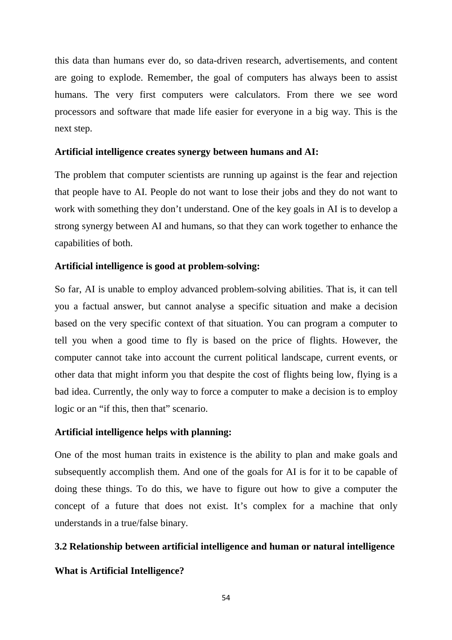this data than humans ever do, so data-driven research, advertisements, and content are going to explode. Remember, the goal of computers has always been to assist humans. The very first computers were calculators. From there we see word processors and software that made life easier for everyone in a big way. This is the next step.

### **Artificial intelligence creates synergy between humans and AI:**

The problem that computer scientists are running up against is the fear and rejection that people have to AI. People do not want to lose their jobs and they do not want to work with something they don't understand. One of the key goals in AI is to develop a strong synergy between AI and humans, so that they can work together to enhance the capabilities of both.

## **Artificial intelligence is good at problem-solving:**

So far, AI is unable to employ advanced problem-solving abilities. That is, it can tell you a factual answer, but cannot analyse a specific situation and make a decision based on the very specific context of that situation. You can program a computer to tell you when a good time to fly is based on the price of flights. However, the computer cannot take into account the current political landscape, current events, or other data that might inform you that despite the cost of flights being low, flying is a bad idea. Currently, the only way to force a computer to make a decision is to employ logic or an "if this, then that" scenario.

## **Artificial intelligence helps with planning:**

One of the most human traits in existence is the ability to plan and make goals and subsequently accomplish them. And one of the goals for AI is for it to be capable of doing these things. To do this, we have to figure out how to give a computer the concept of a future that does not exist. It's complex for a machine that only understands in a true/false binary.

#### **3.2 Relationship between artificial intelligence and human or natural intelligence**

## **What is Artificial Intelligence?**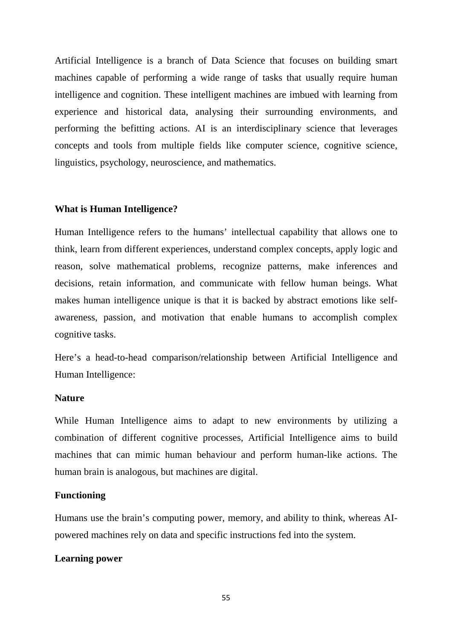Artificial Intelligence is a branch of Data Science that focuses on building smart machines capable of performing a wide range of tasks that usually require human intelligence and cognition. These intelligent machines are imbued with learning from experience and historical data, analysing their surrounding environments, and performing the befitting actions. AI is an interdisciplinary science that leverages concepts and tools from multiple fields like computer science, cognitive science, linguistics, psychology, neuroscience, and mathematics.

#### **What is Human Intelligence?**

Human Intelligence refers to the humans' intellectual capability that allows one to think, learn from different experiences, understand complex concepts, apply logic and reason, solve mathematical problems, recognize patterns, make inferences and decisions, retain information, and communicate with fellow human beings. What makes human intelligence unique is that it is backed by abstract emotions like selfawareness, passion, and motivation that enable humans to accomplish complex cognitive tasks.

Here's a head-to-head comparison/relationship between Artificial Intelligence and Human Intelligence:

### **Nature**

While Human Intelligence aims to adapt to new environments by utilizing a combination of different cognitive processes, Artificial Intelligence aims to build machines that can mimic human behaviour and perform human-like actions. The human brain is analogous, but machines are digital.

#### **Functioning**

Humans use the brain's computing power, memory, and ability to think, whereas AIpowered machines rely on data and specific instructions fed into the system.

#### **Learning power**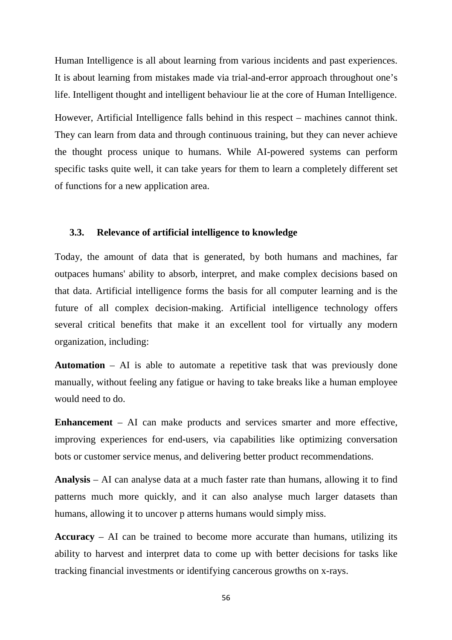Human Intelligence is all about learning from various incidents and past experiences. It is about learning from mistakes made via trial-and-error approach throughout one's life. Intelligent thought and intelligent behaviour lie at the core of Human Intelligence.

However, Artificial Intelligence falls behind in this respect – machines cannot think. They can learn from data and through continuous training, but they can never achieve the thought process unique to humans. While AI-powered systems can perform specific tasks quite well, it can take years for them to learn a completely different set of functions for a new application area.

#### **3.3. Relevance of artificial intelligence to knowledge**

Today, the amount of data that is generated, by both humans and machines, far outpaces humans' ability to absorb, interpret, and make complex decisions based on that data. Artificial intelligence forms the basis for all computer learning and is the future of all complex decision-making. Artificial intelligence technology offers several critical benefits that make it an excellent tool for virtually any modern organization, including:

**Automation** – AI is able to automate a repetitive task that was previously done manually, without feeling any fatigue or having to take breaks like a human employee would need to do.

**Enhancement** – AI can make products and services smarter and more effective, improving experiences for end-users, via capabilities like optimizing conversation bots or customer service menus, and delivering better product recommendations.

**Analysis** – AI can analyse data at a much faster rate than humans, allowing it to find patterns much more quickly, and it can also analyse much larger datasets than humans, allowing it to uncover p atterns humans would simply miss.

**Accuracy** – AI can be trained to become more accurate than humans, utilizing its ability to harvest and interpret data to come up with better decisions for tasks like tracking financial investments or identifying cancerous growths on x-rays.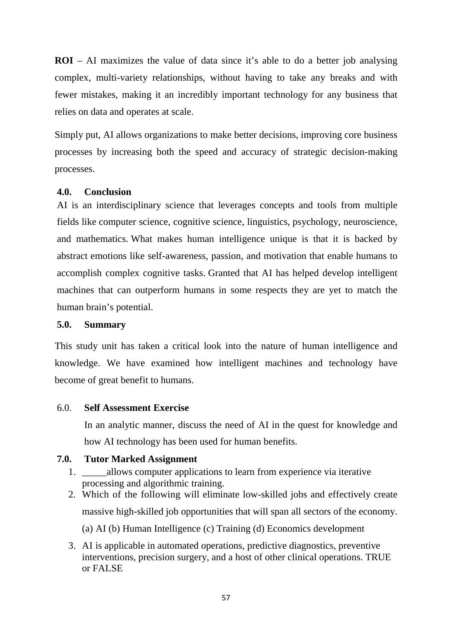**ROI** – AI maximizes the value of data since it's able to do a better job analysing complex, multi-variety relationships, without having to take any breaks and with fewer mistakes, making it an incredibly important technology for any business that relies on data and operates at scale.

Simply put, AI allows organizations to make better decisions, improving core business processes by increasing both the speed and accuracy of strategic decision-making processes.

## **4.0. Conclusion**

AI is an interdisciplinary science that leverages concepts and tools from multiple fields like computer science, cognitive science, linguistics, psychology, neuroscience, and mathematics. What makes human intelligence unique is that it is backed by abstract emotions like self-awareness, passion, and motivation that enable humans to accomplish complex cognitive tasks. Granted that AI has helped develop intelligent machines that can outperform humans in some respects they are yet to match the human brain's potential.

## **5.0. Summary**

This study unit has taken a critical look into the nature of human intelligence and knowledge. We have examined how intelligent machines and technology have become of great benefit to humans.

## 6.0. **Self Assessment Exercise**

In an analytic manner, discuss the need of AI in the quest for knowledge and how AI technology has been used for human benefits.

## **7.0. Tutor Marked Assignment**

- 1. \_\_\_\_\_allows computer applications to learn from experience via iterative processing and algorithmic training.
- 2. Which of the following will eliminate low-skilled jobs and effectively create massive high-skilled job opportunities that will span all sectors of the economy. (a) AI (b) Human Intelligence (c) Training (d) Economics development
- 3. AI is applicable in automated operations, predictive diagnostics, preventive interventions, precision surgery, and a host of other clinical operations. TRUE or FALSE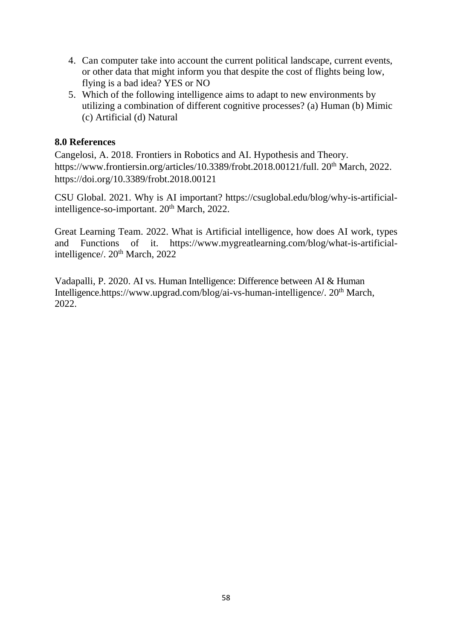- 4. Can computer take into account the current political landscape, current events, or other data that might inform you that despite the cost of flights being low, flying is a bad idea? YES or NO
- 5. Which of the following intelligence aims to adapt to new environments by utilizing a combination of different cognitive processes? (a) Human (b) Mimic (c) Artificial (d) Natural

## **8.0 References**

Cangelosi, A. 2018. Frontiers in Robotics and AI. Hypothesis and Theory. https://www.frontiersin.org/articles/10.3389/frobt.2018.00121/full. 20<sup>th</sup> March, 2022. https://doi.org/10.3389/frobt.2018.00121

CSU Global. 2021. Why is AI important? https://csuglobal.edu/blog/why-is-artificialintelligence-so-important. 20<sup>th</sup> March, 2022.

Great Learning Team. 2022. What is Artificial intelligence, how does AI work, types and Functions of it. https://www.mygreatlearning.com/blog/what-is-artificialintelligence/. 20<sup>th</sup> March, 2022

Vadapalli, P. 2020. AI vs. Human Intelligence: Difference between AI & Human Intelligence.https://www.upgrad.com/blog/ai-vs-human-intelligence/. 20<sup>th</sup> March, 2022.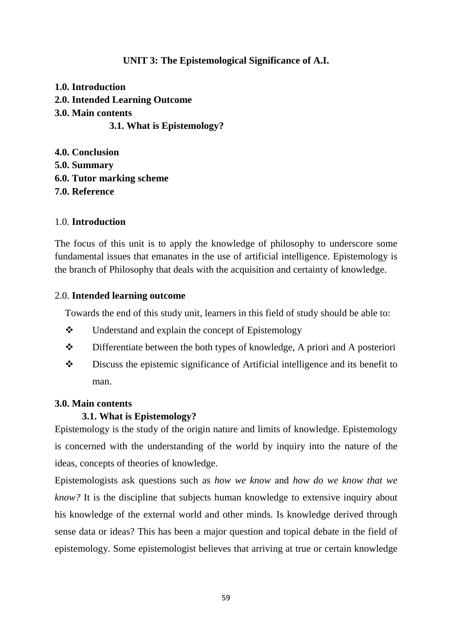## **UNIT 3: The Epistemological Significance of A.I.**

**1.0. Introduction 2.0. Intended Learning Outcome 3.0. Main contents 3.1. What is Epistemology?** 

**4.0. Conclusion 5.0. Summary 6.0. Tutor marking scheme 7.0. Reference** 

## 1.0. **Introduction**

The focus of this unit is to apply the knowledge of philosophy to underscore some fundamental issues that emanates in the use of artificial intelligence. Epistemology is the branch of Philosophy that deals with the acquisition and certainty of knowledge.

## 2.0. **Intended learning outcome**

Towards the end of this study unit, learners in this field of study should be able to:

- $\triangle$  Understand and explain the concept of Epistemology
- Differentiate between the both types of knowledge, A priori and A posteriori
- Discuss the epistemic significance of Artificial intelligence and its benefit to man.

## **3.0. Main contents**

## **3.1. What is Epistemology?**

Epistemology is the study of the origin nature and limits of knowledge. Epistemology is concerned with the understanding of the world by inquiry into the nature of the ideas, concepts of theories of knowledge.

Epistemologists ask questions such as *how we know* and *how do we know that we know?* It is the discipline that subjects human knowledge to extensive inquiry about his knowledge of the external world and other minds. Is knowledge derived through sense data or ideas? This has been a major question and topical debate in the field of epistemology. Some epistemologist believes that arriving at true or certain knowledge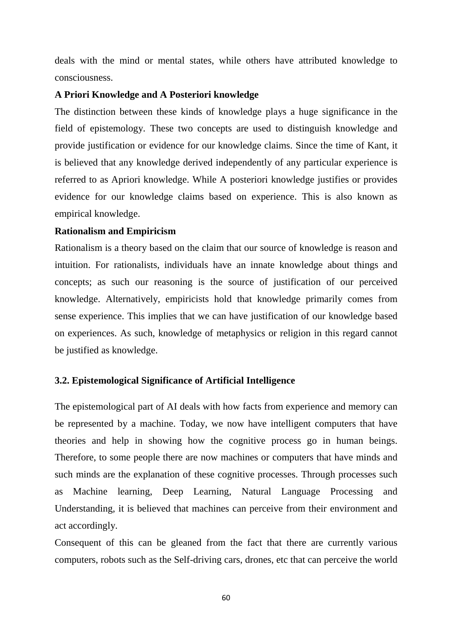deals with the mind or mental states, while others have attributed knowledge to consciousness.

### **A Priori Knowledge and A Posteriori knowledge**

The distinction between these kinds of knowledge plays a huge significance in the field of epistemology. These two concepts are used to distinguish knowledge and provide justification or evidence for our knowledge claims. Since the time of Kant, it is believed that any knowledge derived independently of any particular experience is referred to as Apriori knowledge. While A posteriori knowledge justifies or provides evidence for our knowledge claims based on experience. This is also known as empirical knowledge.

#### **Rationalism and Empiricism**

Rationalism is a theory based on the claim that our source of knowledge is reason and intuition. For rationalists, individuals have an innate knowledge about things and concepts; as such our reasoning is the source of justification of our perceived knowledge. Alternatively, empiricists hold that knowledge primarily comes from sense experience. This implies that we can have justification of our knowledge based on experiences. As such, knowledge of metaphysics or religion in this regard cannot be justified as knowledge.

#### **3.2. Epistemological Significance of Artificial Intelligence**

The epistemological part of AI deals with how facts from experience and memory can be represented by a machine. Today, we now have intelligent computers that have theories and help in showing how the cognitive process go in human beings. Therefore, to some people there are now machines or computers that have minds and such minds are the explanation of these cognitive processes. Through processes such as Machine learning, Deep Learning, Natural Language Processing and Understanding, it is believed that machines can perceive from their environment and act accordingly.

Consequent of this can be gleaned from the fact that there are currently various computers, robots such as the Self-driving cars, drones, etc that can perceive the world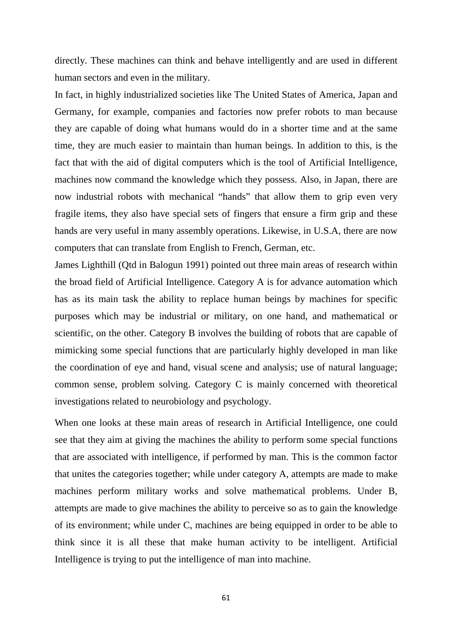directly. These machines can think and behave intelligently and are used in different human sectors and even in the military.

In fact, in highly industrialized societies like The United States of America, Japan and Germany, for example, companies and factories now prefer robots to man because they are capable of doing what humans would do in a shorter time and at the same time, they are much easier to maintain than human beings. In addition to this, is the fact that with the aid of digital computers which is the tool of Artificial Intelligence, machines now command the knowledge which they possess. Also, in Japan, there are now industrial robots with mechanical "hands" that allow them to grip even very fragile items, they also have special sets of fingers that ensure a firm grip and these hands are very useful in many assembly operations. Likewise, in U.S.A, there are now computers that can translate from English to French, German, etc.

James Lighthill (Qtd in Balogun 1991) pointed out three main areas of research within the broad field of Artificial Intelligence. Category A is for advance automation which has as its main task the ability to replace human beings by machines for specific purposes which may be industrial or military, on one hand, and mathematical or scientific, on the other. Category B involves the building of robots that are capable of mimicking some special functions that are particularly highly developed in man like the coordination of eye and hand, visual scene and analysis; use of natural language; common sense, problem solving. Category C is mainly concerned with theoretical investigations related to neurobiology and psychology.

When one looks at these main areas of research in Artificial Intelligence, one could see that they aim at giving the machines the ability to perform some special functions that are associated with intelligence, if performed by man. This is the common factor that unites the categories together; while under category A, attempts are made to make machines perform military works and solve mathematical problems. Under B, attempts are made to give machines the ability to perceive so as to gain the knowledge of its environment; while under C, machines are being equipped in order to be able to think since it is all these that make human activity to be intelligent. Artificial Intelligence is trying to put the intelligence of man into machine.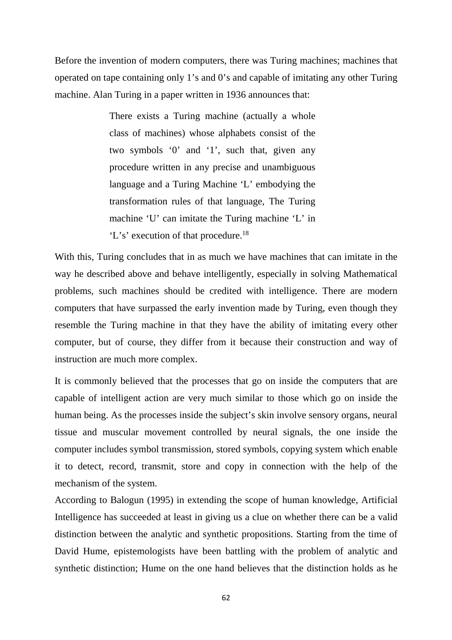Before the invention of modern computers, there was Turing machines; machines that operated on tape containing only 1's and 0's and capable of imitating any other Turing machine. Alan Turing in a paper written in 1936 announces that:

> There exists a Turing machine (actually a whole class of machines) whose alphabets consist of the two symbols '0' and '1', such that, given any procedure written in any precise and unambiguous language and a Turing Machine 'L' embodying the transformation rules of that language, The Turing machine 'U' can imitate the Turing machine 'L' in 'L's' execution of that procedure.<sup>18</sup>

With this, Turing concludes that in as much we have machines that can imitate in the way he described above and behave intelligently, especially in solving Mathematical problems, such machines should be credited with intelligence. There are modern computers that have surpassed the early invention made by Turing, even though they resemble the Turing machine in that they have the ability of imitating every other computer, but of course, they differ from it because their construction and way of instruction are much more complex.

It is commonly believed that the processes that go on inside the computers that are capable of intelligent action are very much similar to those which go on inside the human being. As the processes inside the subject's skin involve sensory organs, neural tissue and muscular movement controlled by neural signals, the one inside the computer includes symbol transmission, stored symbols, copying system which enable it to detect, record, transmit, store and copy in connection with the help of the mechanism of the system.

According to Balogun (1995) in extending the scope of human knowledge, Artificial Intelligence has succeeded at least in giving us a clue on whether there can be a valid distinction between the analytic and synthetic propositions. Starting from the time of David Hume, epistemologists have been battling with the problem of analytic and synthetic distinction; Hume on the one hand believes that the distinction holds as he

62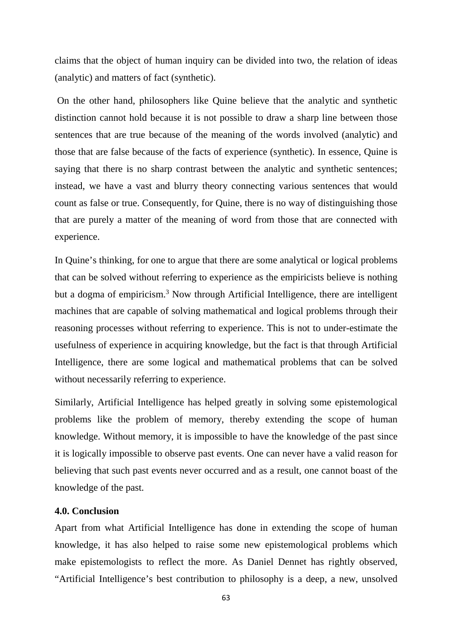claims that the object of human inquiry can be divided into two, the relation of ideas (analytic) and matters of fact (synthetic).

 On the other hand, philosophers like Quine believe that the analytic and synthetic distinction cannot hold because it is not possible to draw a sharp line between those sentences that are true because of the meaning of the words involved (analytic) and those that are false because of the facts of experience (synthetic). In essence, Quine is saying that there is no sharp contrast between the analytic and synthetic sentences; instead, we have a vast and blurry theory connecting various sentences that would count as false or true. Consequently, for Quine, there is no way of distinguishing those that are purely a matter of the meaning of word from those that are connected with experience.

In Quine's thinking, for one to argue that there are some analytical or logical problems that can be solved without referring to experience as the empiricists believe is nothing but a dogma of empiricism.<sup>3</sup> Now through Artificial Intelligence, there are intelligent machines that are capable of solving mathematical and logical problems through their reasoning processes without referring to experience. This is not to under-estimate the usefulness of experience in acquiring knowledge, but the fact is that through Artificial Intelligence, there are some logical and mathematical problems that can be solved without necessarily referring to experience.

Similarly, Artificial Intelligence has helped greatly in solving some epistemological problems like the problem of memory, thereby extending the scope of human knowledge. Without memory, it is impossible to have the knowledge of the past since it is logically impossible to observe past events. One can never have a valid reason for believing that such past events never occurred and as a result, one cannot boast of the knowledge of the past.

## **4.0. Conclusion**

Apart from what Artificial Intelligence has done in extending the scope of human knowledge, it has also helped to raise some new epistemological problems which make epistemologists to reflect the more. As Daniel Dennet has rightly observed, "Artificial Intelligence's best contribution to philosophy is a deep, a new, unsolved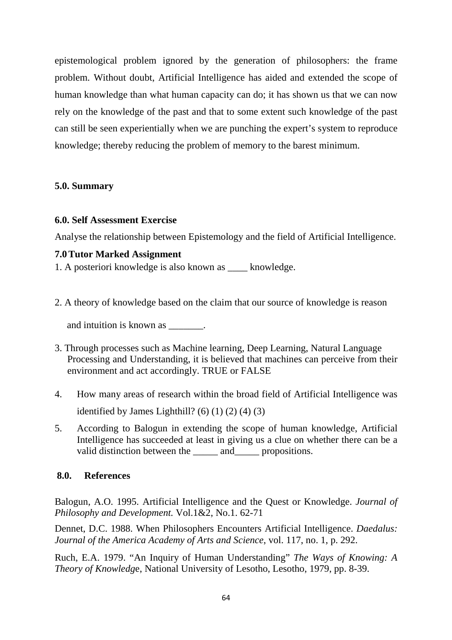epistemological problem ignored by the generation of philosophers: the frame problem. Without doubt, Artificial Intelligence has aided and extended the scope of human knowledge than what human capacity can do; it has shown us that we can now rely on the knowledge of the past and that to some extent such knowledge of the past can still be seen experientially when we are punching the expert's system to reproduce knowledge; thereby reducing the problem of memory to the barest minimum.

## **5.0. Summary**

## **6.0. Self Assessment Exercise**

Analyse the relationship between Epistemology and the field of Artificial Intelligence.

## **7.0Tutor Marked Assignment**

1. A posteriori knowledge is also known as \_\_\_\_ knowledge.

2. A theory of knowledge based on the claim that our source of knowledge is reason

and intuition is known as \_\_\_\_\_\_\_.

- 3. Through processes such as Machine learning, Deep Learning, Natural Language Processing and Understanding, it is believed that machines can perceive from their environment and act accordingly. TRUE or FALSE
- 4. How many areas of research within the broad field of Artificial Intelligence was identified by James Lighthill? (6)  $(1)$   $(2)$   $(4)$   $(3)$
- 5. According to Balogun in extending the scope of human knowledge, Artificial Intelligence has succeeded at least in giving us a clue on whether there can be a valid distinction between the \_\_\_\_\_\_ and \_\_\_\_\_ propositions.

## **8.0. References**

Balogun, A.O. 1995. Artificial Intelligence and the Quest or Knowledge. *Journal of Philosophy and Development.* Vol.1&2, No.1. 62-71

Dennet, D.C. 1988. When Philosophers Encounters Artificial Intelligence. *Daedalus: Journal of the America Academy of Arts and Science*, vol. 117, no. 1, p. 292.

Ruch, E.A. 1979. "An Inquiry of Human Understanding" *The Ways of Knowing: A Theory of Knowledg*e, National University of Lesotho, Lesotho, 1979, pp. 8-39.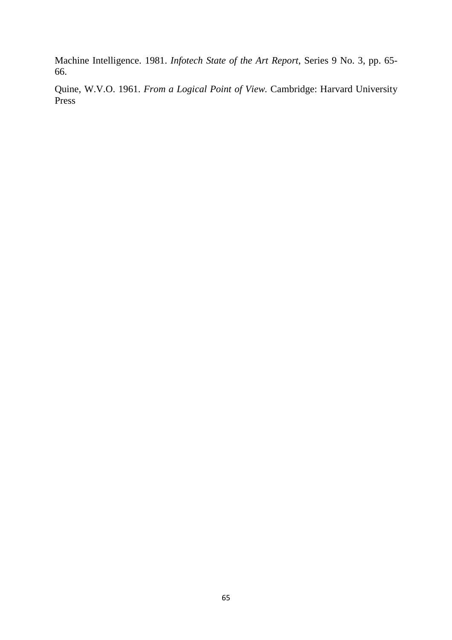Machine Intelligence. 1981. *Infotech State of the Art Report*, Series 9 No. 3, pp. 65- 66.

Quine, W.V.O. 1961. *From a Logical Point of View.* Cambridge: Harvard University Press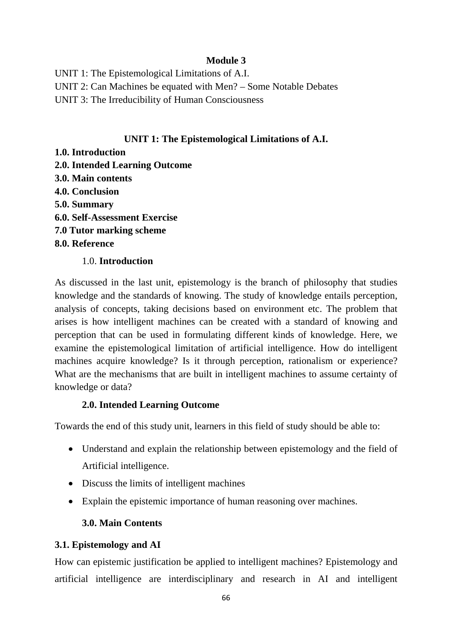# **Module 3**

UNIT 1: The Epistemological Limitations of A.I. UNIT 2: Can Machines be equated with Men? – Some Notable Debates UNIT 3: The Irreducibility of Human Consciousness

## **UNIT 1: The Epistemological Limitations of A.I.**

- **1.0. Introduction**
- **2.0. Intended Learning Outcome**
- **3.0. Main contents**
- **4.0. Conclusion**
- **5.0. Summary**
- **6.0. Self-Assessment Exercise**
- **7.0 Tutor marking scheme**
- **8.0. Reference**

## 1.0. **Introduction**

As discussed in the last unit, epistemology is the branch of philosophy that studies knowledge and the standards of knowing. The study of knowledge entails perception, analysis of concepts, taking decisions based on environment etc. The problem that arises is how intelligent machines can be created with a standard of knowing and perception that can be used in formulating different kinds of knowledge. Here, we examine the epistemological limitation of artificial intelligence. How do intelligent machines acquire knowledge? Is it through perception, rationalism or experience? What are the mechanisms that are built in intelligent machines to assume certainty of knowledge or data?

## **2.0. Intended Learning Outcome**

Towards the end of this study unit, learners in this field of study should be able to:

- Understand and explain the relationship between epistemology and the field of Artificial intelligence.
- Discuss the limits of intelligent machines
- Explain the epistemic importance of human reasoning over machines.

# **3.0. Main Contents**

# **3.1. Epistemology and AI**

How can epistemic justification be applied to intelligent machines? Epistemology and artificial intelligence are interdisciplinary and research in AI and intelligent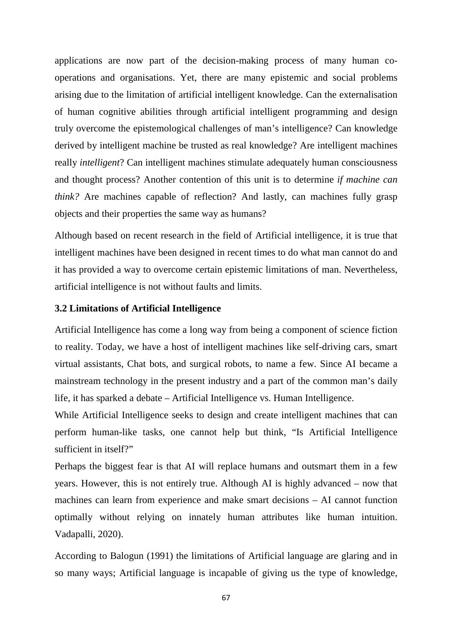applications are now part of the decision-making process of many human cooperations and organisations. Yet, there are many epistemic and social problems arising due to the limitation of artificial intelligent knowledge. Can the externalisation of human cognitive abilities through artificial intelligent programming and design truly overcome the epistemological challenges of man's intelligence? Can knowledge derived by intelligent machine be trusted as real knowledge? Are intelligent machines really *intelligent*? Can intelligent machines stimulate adequately human consciousness and thought process? Another contention of this unit is to determine *if machine can think?* Are machines capable of reflection? And lastly, can machines fully grasp objects and their properties the same way as humans?

Although based on recent research in the field of Artificial intelligence, it is true that intelligent machines have been designed in recent times to do what man cannot do and it has provided a way to overcome certain epistemic limitations of man. Nevertheless, artificial intelligence is not without faults and limits.

## **3.2 Limitations of Artificial Intelligence**

Artificial Intelligence has come a long way from being a component of science fiction to reality. Today, we have a host of intelligent machines like self-driving cars, smart virtual assistants, Chat bots, and surgical robots, to name a few. Since AI became a mainstream technology in the present industry and a part of the common man's daily life, it has sparked a debate – Artificial Intelligence vs. Human Intelligence.

While Artificial Intelligence seeks to design and create intelligent machines that can perform human-like tasks, one cannot help but think, "Is Artificial Intelligence sufficient in itself?"

Perhaps the biggest fear is that AI will replace humans and outsmart them in a few years. However, this is not entirely true. Although AI is highly advanced – now that machines can learn from experience and make smart decisions – AI cannot function optimally without relying on innately human attributes like human intuition. Vadapalli, 2020).

According to Balogun (1991) the limitations of Artificial language are glaring and in so many ways; Artificial language is incapable of giving us the type of knowledge,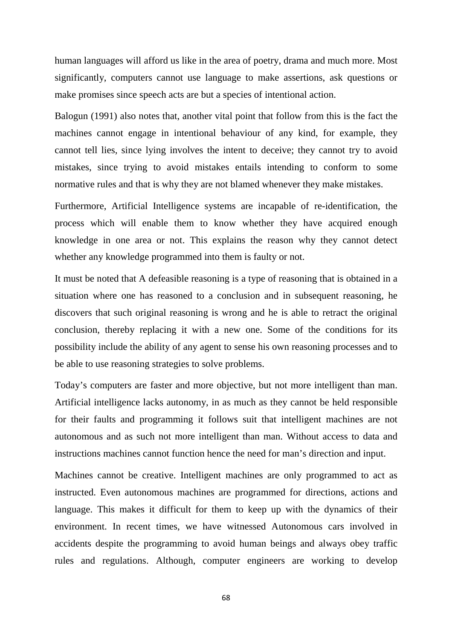human languages will afford us like in the area of poetry, drama and much more. Most significantly, computers cannot use language to make assertions, ask questions or make promises since speech acts are but a species of intentional action.

Balogun (1991) also notes that, another vital point that follow from this is the fact the machines cannot engage in intentional behaviour of any kind, for example, they cannot tell lies, since lying involves the intent to deceive; they cannot try to avoid mistakes, since trying to avoid mistakes entails intending to conform to some normative rules and that is why they are not blamed whenever they make mistakes.

Furthermore, Artificial Intelligence systems are incapable of re-identification, the process which will enable them to know whether they have acquired enough knowledge in one area or not. This explains the reason why they cannot detect whether any knowledge programmed into them is faulty or not.

It must be noted that A defeasible reasoning is a type of reasoning that is obtained in a situation where one has reasoned to a conclusion and in subsequent reasoning, he discovers that such original reasoning is wrong and he is able to retract the original conclusion, thereby replacing it with a new one. Some of the conditions for its possibility include the ability of any agent to sense his own reasoning processes and to be able to use reasoning strategies to solve problems.

Today's computers are faster and more objective, but not more intelligent than man. Artificial intelligence lacks autonomy, in as much as they cannot be held responsible for their faults and programming it follows suit that intelligent machines are not autonomous and as such not more intelligent than man. Without access to data and instructions machines cannot function hence the need for man's direction and input.

Machines cannot be creative. Intelligent machines are only programmed to act as instructed. Even autonomous machines are programmed for directions, actions and language. This makes it difficult for them to keep up with the dynamics of their environment. In recent times, we have witnessed Autonomous cars involved in accidents despite the programming to avoid human beings and always obey traffic rules and regulations. Although, computer engineers are working to develop

68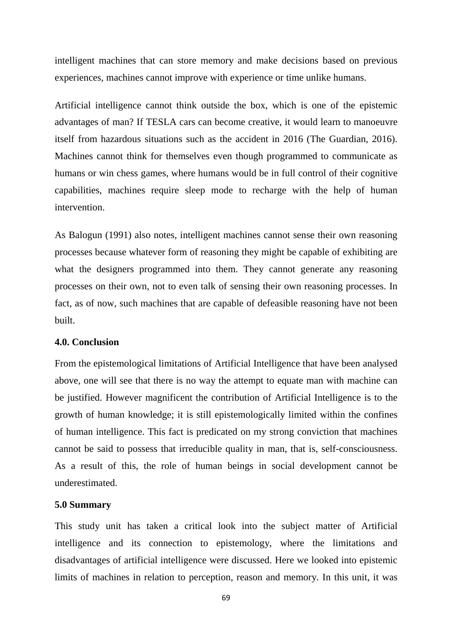intelligent machines that can store memory and make decisions based on previous experiences, machines cannot improve with experience or time unlike humans.

Artificial intelligence cannot think outside the box, which is one of the epistemic advantages of man? If TESLA cars can become creative, it would learn to manoeuvre itself from hazardous situations such as the accident in 2016 (The Guardian, 2016). Machines cannot think for themselves even though programmed to communicate as humans or win chess games, where humans would be in full control of their cognitive capabilities, machines require sleep mode to recharge with the help of human intervention.

As Balogun (1991) also notes, intelligent machines cannot sense their own reasoning processes because whatever form of reasoning they might be capable of exhibiting are what the designers programmed into them. They cannot generate any reasoning processes on their own, not to even talk of sensing their own reasoning processes. In fact, as of now, such machines that are capable of defeasible reasoning have not been built.

#### **4.0. Conclusion**

From the epistemological limitations of Artificial Intelligence that have been analysed above, one will see that there is no way the attempt to equate man with machine can be justified. However magnificent the contribution of Artificial Intelligence is to the growth of human knowledge; it is still epistemologically limited within the confines of human intelligence. This fact is predicated on my strong conviction that machines cannot be said to possess that irreducible quality in man, that is, self-consciousness. As a result of this, the role of human beings in social development cannot be underestimated.

#### **5.0 Summary**

This study unit has taken a critical look into the subject matter of Artificial intelligence and its connection to epistemology, where the limitations and disadvantages of artificial intelligence were discussed. Here we looked into epistemic limits of machines in relation to perception, reason and memory. In this unit, it was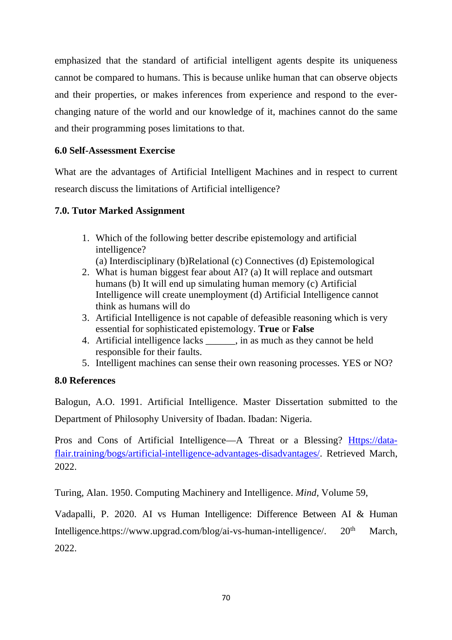emphasized that the standard of artificial intelligent agents despite its uniqueness cannot be compared to humans. This is because unlike human that can observe objects and their properties, or makes inferences from experience and respond to the everchanging nature of the world and our knowledge of it, machines cannot do the same and their programming poses limitations to that.

# **6.0 Self-Assessment Exercise**

What are the advantages of Artificial Intelligent Machines and in respect to current research discuss the limitations of Artificial intelligence?

## **7.0. Tutor Marked Assignment**

- 1. Which of the following better describe epistemology and artificial intelligence?
	- (a) Interdisciplinary (b)Relational (c) Connectives (d) Epistemological
- 2. What is human biggest fear about AI? (a) It will replace and outsmart humans (b) It will end up simulating human memory (c) Artificial Intelligence will create unemployment (d) Artificial Intelligence cannot think as humans will do
- 3. Artificial Intelligence is not capable of defeasible reasoning which is very essential for sophisticated epistemology. **True** or **False**
- 4. Artificial intelligence lacks \_\_\_\_\_\_, in as much as they cannot be held responsible for their faults.
- 5. Intelligent machines can sense their own reasoning processes. YES or NO?

## **8.0 References**

Balogun, A.O. 1991. Artificial Intelligence. Master Dissertation submitted to the Department of Philosophy University of Ibadan. Ibadan: Nigeria.

Pros and Cons of Artificial Intelligence—A Threat or a Blessing? Https://dataflair.training/bogs/artificial-intelligence-advantages-disadvantages/. Retrieved March, 2022.

Turing, Alan. 1950. Computing Machinery and Intelligence. *Mind,* Volume 59,

Vadapalli, P. 2020. AI vs Human Intelligence: Difference Between AI & Human Intelligence.https://www.upgrad.com/blog/ai-vs-human-intelligence/.  $20<sup>th</sup>$  March, 2022.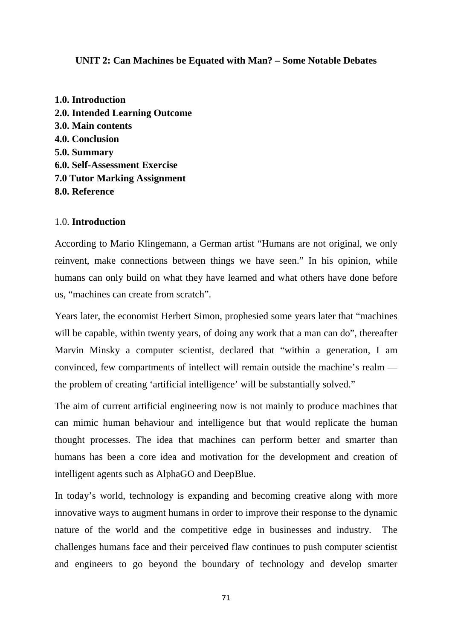## **UNIT 2: Can Machines be Equated with Man? – Some Notable Debates**

**1.0. Introduction 2.0. Intended Learning Outcome 3.0. Main contents 4.0. Conclusion 5.0. Summary 6.0. Self-Assessment Exercise 7.0 Tutor Marking Assignment 8.0. Reference** 

### 1.0. **Introduction**

According to Mario Klingemann, a German artist "Humans are not original, we only reinvent, make connections between things we have seen." In his opinion, while humans can only build on what they have learned and what others have done before us, "machines can create from scratch".

Years later, the economist Herbert Simon, prophesied some years later that "machines will be capable, within twenty years, of doing any work that a man can do", thereafter Marvin Minsky a computer scientist, declared that "within a generation, I am convinced, few compartments of intellect will remain outside the machine's realm the problem of creating 'artificial intelligence' will be substantially solved."

The aim of current artificial engineering now is not mainly to produce machines that can mimic human behaviour and intelligence but that would replicate the human thought processes. The idea that machines can perform better and smarter than humans has been a core idea and motivation for the development and creation of intelligent agents such as AlphaGO and DeepBlue.

In today's world, technology is expanding and becoming creative along with more innovative ways to augment humans in order to improve their response to the dynamic nature of the world and the competitive edge in businesses and industry. The challenges humans face and their perceived flaw continues to push computer scientist and engineers to go beyond the boundary of technology and develop smarter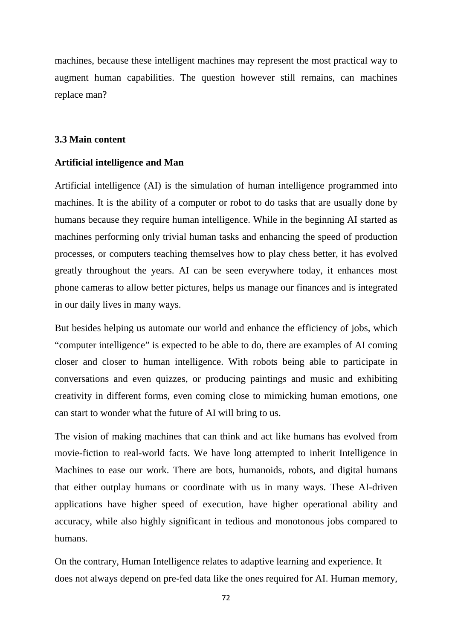machines, because these intelligent machines may represent the most practical way to augment human capabilities. The question however still remains, can machines replace man?

#### **3.3 Main content**

#### **Artificial intelligence and Man**

Artificial intelligence (AI) is the simulation of human intelligence programmed into machines. It is the ability of a computer or robot to do tasks that are usually done by humans because they require human intelligence. While in the beginning AI started as machines performing only trivial human tasks and enhancing the speed of production processes, or computers teaching themselves how to play chess better, it has evolved greatly throughout the years. AI can be seen everywhere today, it enhances most phone cameras to allow better pictures, helps us manage our finances and is integrated in our daily lives in many ways.

But besides helping us automate our world and enhance the efficiency of jobs, which "computer intelligence" is expected to be able to do, there are examples of AI coming closer and closer to human intelligence. With robots being able to participate in conversations and even quizzes, or producing paintings and music and exhibiting creativity in different forms, even coming close to mimicking human emotions, one can start to wonder what the future of AI will bring to us.

The vision of making machines that can think and act like humans has evolved from movie-fiction to real-world facts. We have long attempted to inherit Intelligence in Machines to ease our work. There are bots, humanoids, robots, and digital humans that either outplay humans or coordinate with us in many ways. These AI-driven applications have higher speed of execution, have higher operational ability and accuracy, while also highly significant in tedious and monotonous jobs compared to humans.

On the contrary, Human Intelligence relates to adaptive learning and experience. It does not always depend on pre-fed data like the ones required for AI. Human memory,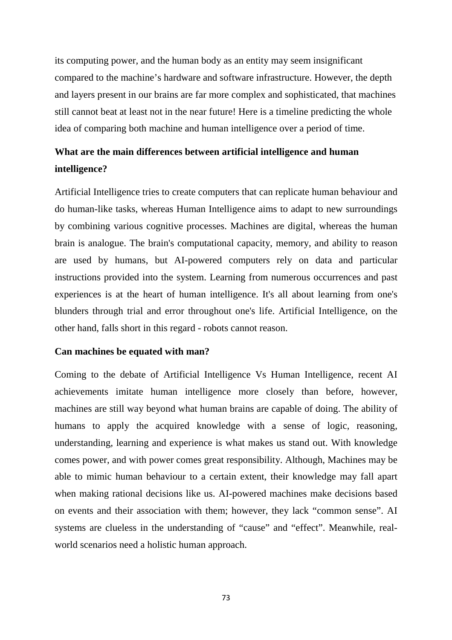its computing power, and the human body as an entity may seem insignificant compared to the machine's hardware and software infrastructure. However, the depth and layers present in our brains are far more complex and sophisticated, that machines still cannot beat at least not in the near future! Here is a timeline predicting the whole idea of comparing both machine and human intelligence over a period of time.

# **What are the main differences between artificial intelligence and human intelligence?**

Artificial Intelligence tries to create computers that can replicate human behaviour and do human-like tasks, whereas Human Intelligence aims to adapt to new surroundings by combining various cognitive processes. Machines are digital, whereas the human brain is analogue. The brain's computational capacity, memory, and ability to reason are used by humans, but AI-powered computers rely on data and particular instructions provided into the system. Learning from numerous occurrences and past experiences is at the heart of human intelligence. It's all about learning from one's blunders through trial and error throughout one's life. Artificial Intelligence, on the other hand, falls short in this regard - robots cannot reason.

#### **Can machines be equated with man?**

Coming to the debate of Artificial Intelligence Vs Human Intelligence, recent AI achievements imitate human intelligence more closely than before, however, machines are still way beyond what human brains are capable of doing. The ability of humans to apply the acquired knowledge with a sense of logic, reasoning, understanding, learning and experience is what makes us stand out. With knowledge comes power, and with power comes great responsibility. Although, Machines may be able to mimic human behaviour to a certain extent, their knowledge may fall apart when making rational decisions like us. AI-powered machines make decisions based on events and their association with them; however, they lack "common sense". AI systems are clueless in the understanding of "cause" and "effect". Meanwhile, realworld scenarios need a holistic human approach.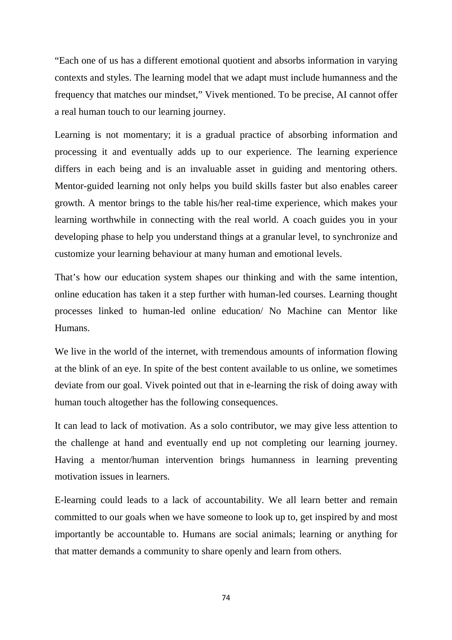"Each one of us has a different emotional quotient and absorbs information in varying contexts and styles. The learning model that we adapt must include humanness and the frequency that matches our mindset," Vivek mentioned. To be precise, AI cannot offer a real human touch to our learning journey.

Learning is not momentary; it is a gradual practice of absorbing information and processing it and eventually adds up to our experience. The learning experience differs in each being and is an invaluable asset in guiding and mentoring others. Mentor-guided learning not only helps you build skills faster but also enables career growth. A mentor brings to the table his/her real-time experience, which makes your learning worthwhile in connecting with the real world. A coach guides you in your developing phase to help you understand things at a granular level, to synchronize and customize your learning behaviour at many human and emotional levels.

That's how our education system shapes our thinking and with the same intention, online education has taken it a step further with human-led courses. Learning thought processes linked to human-led online education/ No Machine can Mentor like Humans.

We live in the world of the internet, with tremendous amounts of information flowing at the blink of an eye. In spite of the best content available to us online, we sometimes deviate from our goal. Vivek pointed out that in e-learning the risk of doing away with human touch altogether has the following consequences.

It can lead to lack of motivation. As a solo contributor, we may give less attention to the challenge at hand and eventually end up not completing our learning journey. Having a mentor/human intervention brings humanness in learning preventing motivation issues in learners.

E-learning could leads to a lack of accountability. We all learn better and remain committed to our goals when we have someone to look up to, get inspired by and most importantly be accountable to. Humans are social animals; learning or anything for that matter demands a community to share openly and learn from others.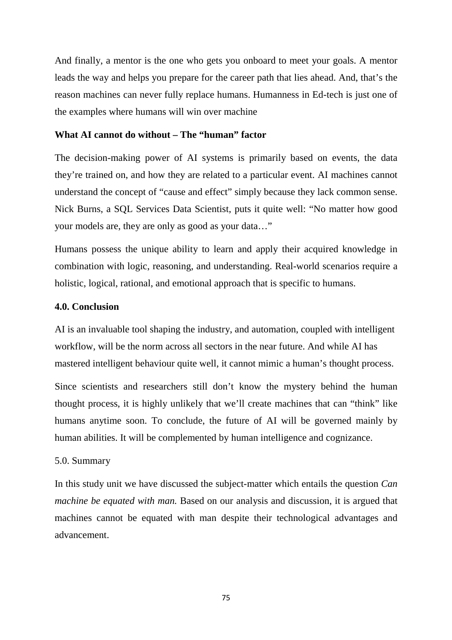And finally, a mentor is the one who gets you onboard to meet your goals. A mentor leads the way and helps you prepare for the career path that lies ahead. And, that's the reason machines can never fully replace humans. Humanness in Ed-tech is just one of the examples where humans will win over machine

### **What AI cannot do without – The "human" factor**

The decision-making power of AI systems is primarily based on events, the data they're trained on, and how they are related to a particular event. AI machines cannot understand the concept of "cause and effect" simply because they lack common sense. Nick Burns, a SQL Services Data Scientist, puts it quite well: "No matter how good your models are, they are only as good as your data…"

Humans possess the unique ability to learn and apply their acquired knowledge in combination with logic, reasoning, and understanding. Real-world scenarios require a holistic, logical, rational, and emotional approach that is specific to humans.

#### **4.0. Conclusion**

AI is an invaluable tool shaping the industry, and automation, coupled with intelligent workflow, will be the norm across all sectors in the near future. And while AI has mastered intelligent behaviour quite well, it cannot mimic a human's thought process.

Since scientists and researchers still don't know the mystery behind the human thought process, it is highly unlikely that we'll create machines that can "think" like humans anytime soon. To conclude, the future of AI will be governed mainly by human abilities. It will be complemented by human intelligence and cognizance.

#### 5.0. Summary

In this study unit we have discussed the subject-matter which entails the question *Can machine be equated with man.* Based on our analysis and discussion, it is argued that machines cannot be equated with man despite their technological advantages and advancement.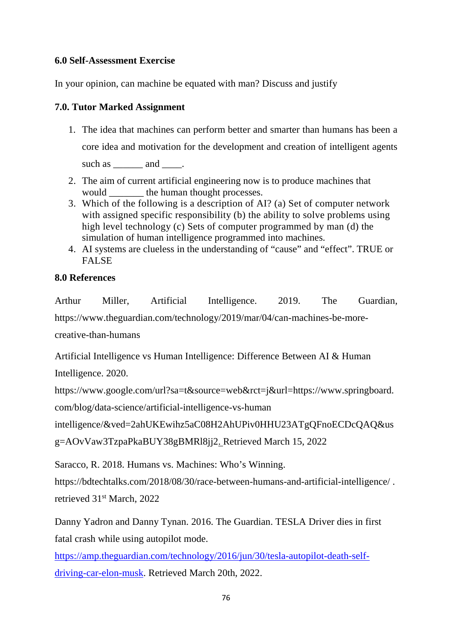# **6.0 Self-Assessment Exercise**

In your opinion, can machine be equated with man? Discuss and justify

# **7.0. Tutor Marked Assignment**

- 1. The idea that machines can perform better and smarter than humans has been a core idea and motivation for the development and creation of intelligent agents such as \_\_\_\_\_\_\_ and \_\_\_\_\_.
- 2. The aim of current artificial engineering now is to produce machines that would \_\_\_\_\_\_\_ the human thought processes.
- 3. Which of the following is a description of AI? (a) Set of computer network with assigned specific responsibility (b) the ability to solve problems using high level technology (c) Sets of computer programmed by man (d) the simulation of human intelligence programmed into machines.
- 4. AI systems are clueless in the understanding of "cause" and "effect". TRUE or FALSE

# **8.0 References**

Arthur Miller, Artificial Intelligence. 2019. The Guardian, https://www.theguardian.com/technology/2019/mar/04/can-machines-be-morecreative-than-humans

Artificial Intelligence vs Human Intelligence: Difference Between AI & Human Intelligence. 2020.

https://www.google.com/url?sa=t&source=web&rct=j&url=https://www.springboard. com/blog/data-science/artificial-intelligence-vs-human

```
intelligence/&ved=2ahUKEwihz5aC08H2AhUPiv0HHU23ATgQFnoECDcQAQ&us
```

```
g=AOvVaw3TzpaPkaBUY38gBMRl8jj2. Retrieved March 15, 2022
```
Saracco, R. 2018. Humans vs. Machines: Who's Winning.

https://bdtechtalks.com/2018/08/30/race-between-humans-and-artificial-intelligence/ . retrieved 31st March, 2022

Danny Yadron and Danny Tynan. 2016. The Guardian. TESLA Driver dies in first fatal crash while using autopilot mode.

https://amp.theguardian.com/technology/2016/jun/30/tesla-autopilot-death-selfdriving-car-elon-musk. Retrieved March 20th, 2022.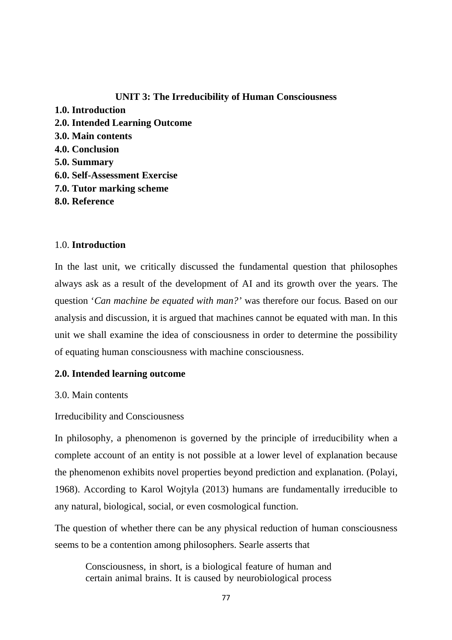# **UNIT 3: The Irreducibility of Human Consciousness**

**1.0. Introduction 2.0. Intended Learning Outcome 3.0. Main contents 4.0. Conclusion 5.0. Summary 6.0. Self-Assessment Exercise 7.0. Tutor marking scheme 8.0. Reference** 

# 1.0. **Introduction**

In the last unit, we critically discussed the fundamental question that philosophes always ask as a result of the development of AI and its growth over the years. The question '*Can machine be equated with man?'* was therefore our focus*.* Based on our analysis and discussion, it is argued that machines cannot be equated with man. In this unit we shall examine the idea of consciousness in order to determine the possibility of equating human consciousness with machine consciousness.

# **2.0. Intended learning outcome**

3.0. Main contents

Irreducibility and Consciousness

In philosophy, a phenomenon is governed by the principle of irreducibility when a complete account of an entity is not possible at a lower level of explanation because the phenomenon exhibits novel properties beyond prediction and explanation. (Polayi, 1968). According to Karol Wojtyla (2013) humans are fundamentally irreducible to any natural, biological, social, or even cosmological function.

The question of whether there can be any physical reduction of human consciousness seems to be a contention among philosophers. Searle asserts that

Consciousness, in short, is a biological feature of human and certain animal brains. It is caused by neurobiological process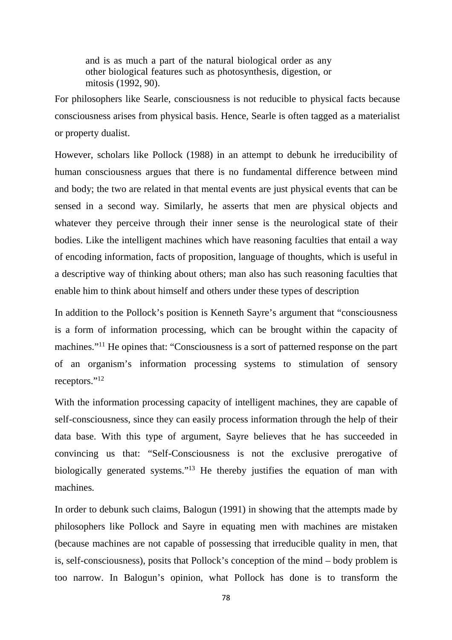and is as much a part of the natural biological order as any other biological features such as photosynthesis, digestion, or mitosis (1992, 90).

For philosophers like Searle, consciousness is not reducible to physical facts because consciousness arises from physical basis. Hence, Searle is often tagged as a materialist or property dualist.

However, scholars like Pollock (1988) in an attempt to debunk he irreducibility of human consciousness argues that there is no fundamental difference between mind and body; the two are related in that mental events are just physical events that can be sensed in a second way. Similarly, he asserts that men are physical objects and whatever they perceive through their inner sense is the neurological state of their bodies. Like the intelligent machines which have reasoning faculties that entail a way of encoding information, facts of proposition, language of thoughts, which is useful in a descriptive way of thinking about others; man also has such reasoning faculties that enable him to think about himself and others under these types of description

In addition to the Pollock's position is Kenneth Sayre's argument that "consciousness is a form of information processing, which can be brought within the capacity of machines."<sup>11</sup> He opines that: "Consciousness is a sort of patterned response on the part of an organism's information processing systems to stimulation of sensory receptors."<sup>12</sup>

With the information processing capacity of intelligent machines, they are capable of self-consciousness, since they can easily process information through the help of their data base. With this type of argument, Sayre believes that he has succeeded in convincing us that: "Self-Consciousness is not the exclusive prerogative of biologically generated systems."<sup>13</sup> He thereby justifies the equation of man with machines.

In order to debunk such claims, Balogun (1991) in showing that the attempts made by philosophers like Pollock and Sayre in equating men with machines are mistaken (because machines are not capable of possessing that irreducible quality in men, that is, self-consciousness), posits that Pollock's conception of the mind – body problem is too narrow. In Balogun's opinion, what Pollock has done is to transform the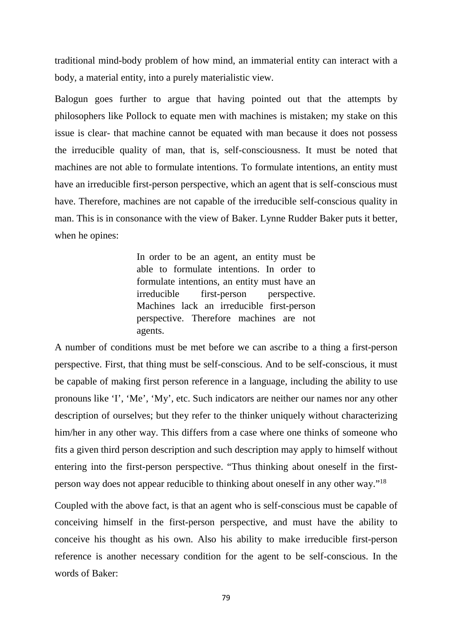traditional mind-body problem of how mind, an immaterial entity can interact with a body, a material entity, into a purely materialistic view.

Balogun goes further to argue that having pointed out that the attempts by philosophers like Pollock to equate men with machines is mistaken; my stake on this issue is clear- that machine cannot be equated with man because it does not possess the irreducible quality of man, that is, self-consciousness. It must be noted that machines are not able to formulate intentions. To formulate intentions, an entity must have an irreducible first-person perspective, which an agent that is self-conscious must have. Therefore, machines are not capable of the irreducible self-conscious quality in man. This is in consonance with the view of Baker. Lynne Rudder Baker puts it better, when he opines:

> In order to be an agent, an entity must be able to formulate intentions. In order to formulate intentions, an entity must have an irreducible first-person perspective. Machines lack an irreducible first-person perspective. Therefore machines are not agents.

A number of conditions must be met before we can ascribe to a thing a first-person perspective. First, that thing must be self-conscious. And to be self-conscious, it must be capable of making first person reference in a language, including the ability to use pronouns like 'I', 'Me', 'My', etc. Such indicators are neither our names nor any other description of ourselves; but they refer to the thinker uniquely without characterizing him/her in any other way. This differs from a case where one thinks of someone who fits a given third person description and such description may apply to himself without entering into the first-person perspective. "Thus thinking about oneself in the firstperson way does not appear reducible to thinking about oneself in any other way."<sup>18</sup>

Coupled with the above fact, is that an agent who is self-conscious must be capable of conceiving himself in the first-person perspective, and must have the ability to conceive his thought as his own. Also his ability to make irreducible first-person reference is another necessary condition for the agent to be self-conscious. In the words of Baker: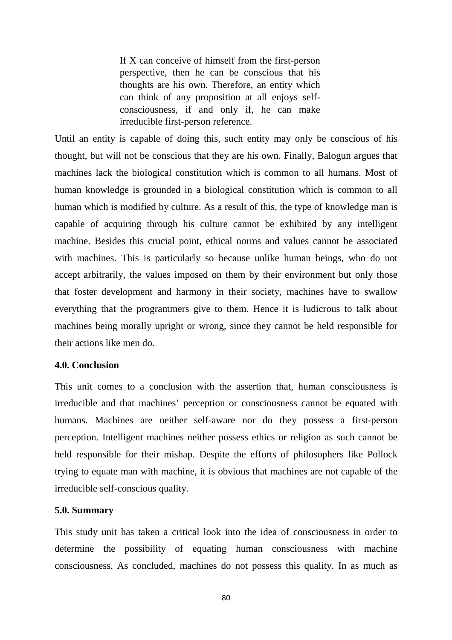If X can conceive of himself from the first-person perspective, then he can be conscious that his thoughts are his own. Therefore, an entity which can think of any proposition at all enjoys selfconsciousness, if and only if, he can make irreducible first-person reference.

Until an entity is capable of doing this, such entity may only be conscious of his thought, but will not be conscious that they are his own. Finally, Balogun argues that machines lack the biological constitution which is common to all humans. Most of human knowledge is grounded in a biological constitution which is common to all human which is modified by culture. As a result of this, the type of knowledge man is capable of acquiring through his culture cannot be exhibited by any intelligent machine. Besides this crucial point, ethical norms and values cannot be associated with machines. This is particularly so because unlike human beings, who do not accept arbitrarily, the values imposed on them by their environment but only those that foster development and harmony in their society, machines have to swallow everything that the programmers give to them. Hence it is ludicrous to talk about machines being morally upright or wrong, since they cannot be held responsible for their actions like men do.

#### **4.0. Conclusion**

This unit comes to a conclusion with the assertion that, human consciousness is irreducible and that machines' perception or consciousness cannot be equated with humans. Machines are neither self-aware nor do they possess a first-person perception. Intelligent machines neither possess ethics or religion as such cannot be held responsible for their mishap. Despite the efforts of philosophers like Pollock trying to equate man with machine, it is obvious that machines are not capable of the irreducible self-conscious quality.

#### **5.0. Summary**

This study unit has taken a critical look into the idea of consciousness in order to determine the possibility of equating human consciousness with machine consciousness. As concluded, machines do not possess this quality. In as much as